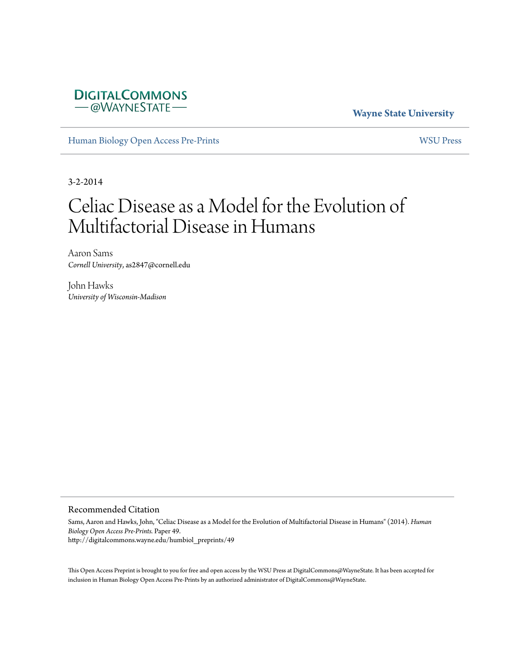## **DIGITALCOMMONS** -@WAYNESTATE-

### **Wayne State University**

[Human Biology Open Access Pre-Prints](http://digitalcommons.wayne.edu/humbiol_preprints) [WSU Press](http://digitalcommons.wayne.edu/wsupress)

3-2-2014

# Celiac Disease as a Model for the Evolution of Multifactorial Disease in Humans

Aaron Sams *Cornell University*, as2847@cornell.edu

John Hawks *University of Wisconsin-Madison*

#### Recommended Citation

Sams, Aaron and Hawks, John, "Celiac Disease as a Model for the Evolution of Multifactorial Disease in Humans" (2014). *Human Biology Open Access Pre-Prints.* Paper 49. http://digitalcommons.wayne.edu/humbiol\_preprints/49

This Open Access Preprint is brought to you for free and open access by the WSU Press at DigitalCommons@WayneState. It has been accepted for inclusion in Human Biology Open Access Pre-Prints by an authorized administrator of DigitalCommons@WayneState.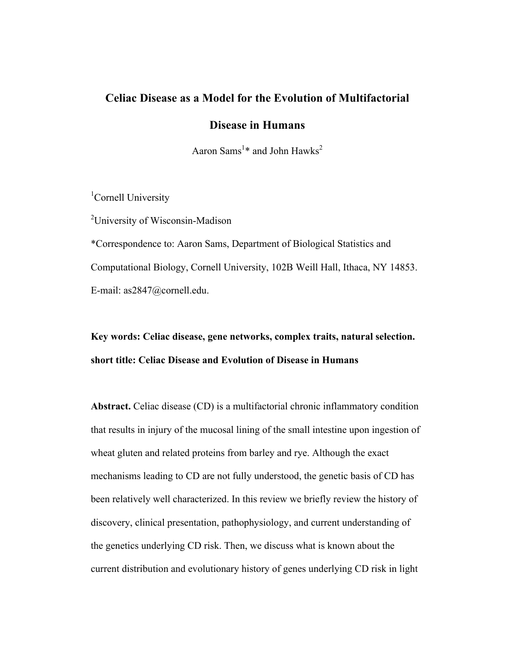# **Celiac Disease as a Model for the Evolution of Multifactorial**

### **Disease in Humans**

Aaron Sams<sup>1\*</sup> and John Hawks<sup>2</sup>

<sup>1</sup>Cornell University

<sup>2</sup>University of Wisconsin-Madison

\*Correspondence to: Aaron Sams, Department of Biological Statistics and Computational Biology, Cornell University, 102B Weill Hall, Ithaca, NY 14853. E-mail: as2847@cornell.edu.

# **Key words: Celiac disease, gene networks, complex traits, natural selection. short title: Celiac Disease and Evolution of Disease in Humans**

**Abstract.** Celiac disease (CD) is a multifactorial chronic inflammatory condition that results in injury of the mucosal lining of the small intestine upon ingestion of wheat gluten and related proteins from barley and rye. Although the exact mechanisms leading to CD are not fully understood, the genetic basis of CD has been relatively well characterized. In this review we briefly review the history of discovery, clinical presentation, pathophysiology, and current understanding of the genetics underlying CD risk. Then, we discuss what is known about the current distribution and evolutionary history of genes underlying CD risk in light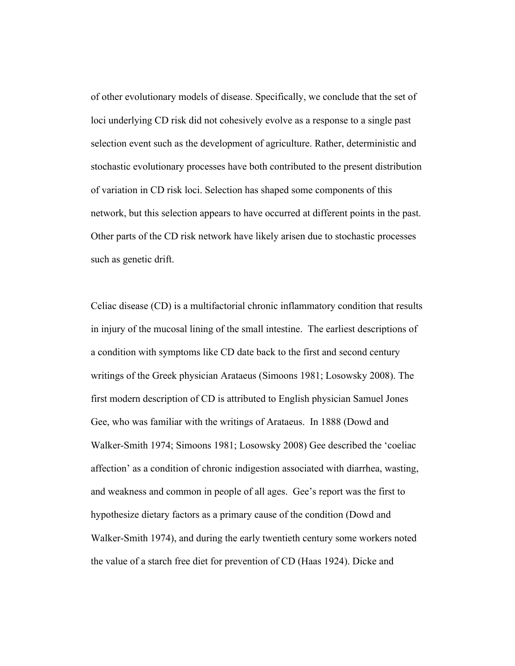of other evolutionary models of disease. Specifically, we conclude that the set of loci underlying CD risk did not cohesively evolve as a response to a single past selection event such as the development of agriculture. Rather, deterministic and stochastic evolutionary processes have both contributed to the present distribution of variation in CD risk loci. Selection has shaped some components of this network, but this selection appears to have occurred at different points in the past. Other parts of the CD risk network have likely arisen due to stochastic processes such as genetic drift.

Celiac disease (CD) is a multifactorial chronic inflammatory condition that results in injury of the mucosal lining of the small intestine. The earliest descriptions of a condition with symptoms like CD date back to the first and second century writings of the Greek physician Arataeus (Simoons 1981; Losowsky 2008). The first modern description of CD is attributed to English physician Samuel Jones Gee, who was familiar with the writings of Arataeus. In 1888 (Dowd and Walker-Smith 1974; Simoons 1981; Losowsky 2008) Gee described the 'coeliac affection' as a condition of chronic indigestion associated with diarrhea, wasting, and weakness and common in people of all ages. Gee's report was the first to hypothesize dietary factors as a primary cause of the condition (Dowd and Walker-Smith 1974), and during the early twentieth century some workers noted the value of a starch free diet for prevention of CD (Haas 1924). Dicke and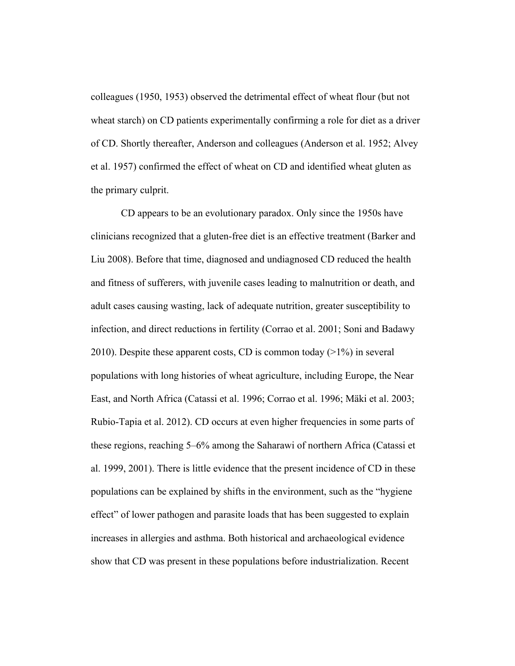colleagues (1950, 1953) observed the detrimental effect of wheat flour (but not wheat starch) on CD patients experimentally confirming a role for diet as a driver of CD. Shortly thereafter, Anderson and colleagues (Anderson et al. 1952; Alvey et al. 1957) confirmed the effect of wheat on CD and identified wheat gluten as the primary culprit.

CD appears to be an evolutionary paradox. Only since the 1950s have clinicians recognized that a gluten-free diet is an effective treatment (Barker and Liu 2008). Before that time, diagnosed and undiagnosed CD reduced the health and fitness of sufferers, with juvenile cases leading to malnutrition or death, and adult cases causing wasting, lack of adequate nutrition, greater susceptibility to infection, and direct reductions in fertility (Corrao et al. 2001; Soni and Badawy 2010). Despite these apparent costs, CD is common today  $(>1\%)$  in several populations with long histories of wheat agriculture, including Europe, the Near East, and North Africa (Catassi et al. 1996; Corrao et al. 1996; Mäki et al. 2003; Rubio-Tapia et al. 2012). CD occurs at even higher frequencies in some parts of these regions, reaching 5–6% among the Saharawi of northern Africa (Catassi et al. 1999, 2001). There is little evidence that the present incidence of CD in these populations can be explained by shifts in the environment, such as the "hygiene effect" of lower pathogen and parasite loads that has been suggested to explain increases in allergies and asthma. Both historical and archaeological evidence show that CD was present in these populations before industrialization. Recent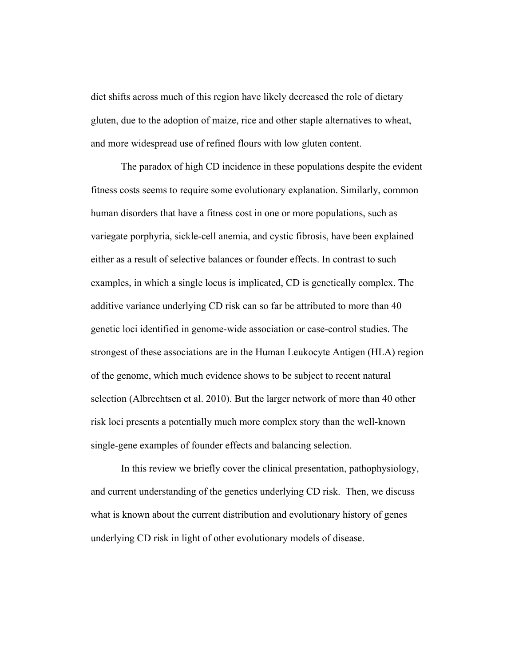diet shifts across much of this region have likely decreased the role of dietary gluten, due to the adoption of maize, rice and other staple alternatives to wheat, and more widespread use of refined flours with low gluten content.

The paradox of high CD incidence in these populations despite the evident fitness costs seems to require some evolutionary explanation. Similarly, common human disorders that have a fitness cost in one or more populations, such as variegate porphyria, sickle-cell anemia, and cystic fibrosis, have been explained either as a result of selective balances or founder effects. In contrast to such examples, in which a single locus is implicated, CD is genetically complex. The additive variance underlying CD risk can so far be attributed to more than 40 genetic loci identified in genome-wide association or case-control studies. The strongest of these associations are in the Human Leukocyte Antigen (HLA) region of the genome, which much evidence shows to be subject to recent natural selection (Albrechtsen et al. 2010). But the larger network of more than 40 other risk loci presents a potentially much more complex story than the well-known single-gene examples of founder effects and balancing selection.

In this review we briefly cover the clinical presentation, pathophysiology, and current understanding of the genetics underlying CD risk. Then, we discuss what is known about the current distribution and evolutionary history of genes underlying CD risk in light of other evolutionary models of disease.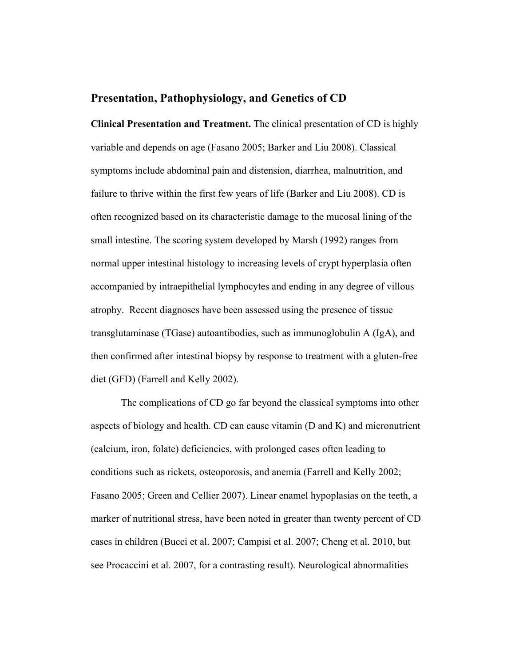### **Presentation, Pathophysiology, and Genetics of CD**

**Clinical Presentation and Treatment.** The clinical presentation of CD is highly variable and depends on age (Fasano 2005; Barker and Liu 2008). Classical symptoms include abdominal pain and distension, diarrhea, malnutrition, and failure to thrive within the first few years of life (Barker and Liu 2008). CD is often recognized based on its characteristic damage to the mucosal lining of the small intestine. The scoring system developed by Marsh (1992) ranges from normal upper intestinal histology to increasing levels of crypt hyperplasia often accompanied by intraepithelial lymphocytes and ending in any degree of villous atrophy. Recent diagnoses have been assessed using the presence of tissue transglutaminase (TGase) autoantibodies, such as immunoglobulin A (IgA), and then confirmed after intestinal biopsy by response to treatment with a gluten-free diet (GFD) (Farrell and Kelly 2002).

The complications of CD go far beyond the classical symptoms into other aspects of biology and health. CD can cause vitamin (D and K) and micronutrient (calcium, iron, folate) deficiencies, with prolonged cases often leading to conditions such as rickets, osteoporosis, and anemia (Farrell and Kelly 2002; Fasano 2005; Green and Cellier 2007). Linear enamel hypoplasias on the teeth, a marker of nutritional stress, have been noted in greater than twenty percent of CD cases in children (Bucci et al. 2007; Campisi et al. 2007; Cheng et al. 2010, but see Procaccini et al. 2007, for a contrasting result). Neurological abnormalities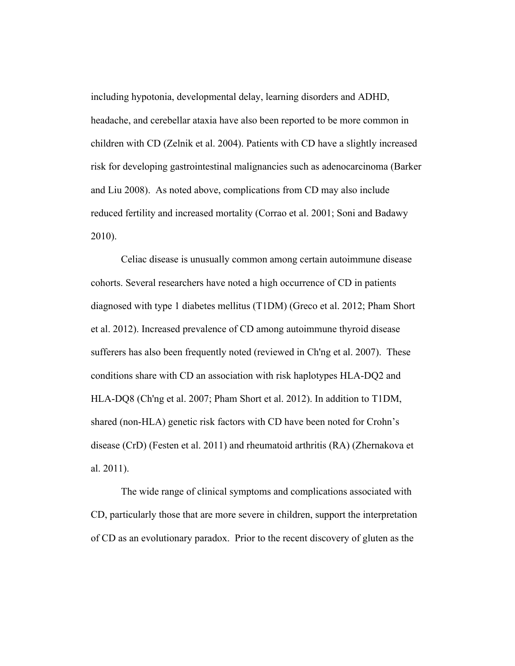including hypotonia, developmental delay, learning disorders and ADHD, headache, and cerebellar ataxia have also been reported to be more common in children with CD (Zelnik et al. 2004). Patients with CD have a slightly increased risk for developing gastrointestinal malignancies such as adenocarcinoma (Barker and Liu 2008). As noted above, complications from CD may also include reduced fertility and increased mortality (Corrao et al. 2001; Soni and Badawy 2010).

Celiac disease is unusually common among certain autoimmune disease cohorts. Several researchers have noted a high occurrence of CD in patients diagnosed with type 1 diabetes mellitus (T1DM) (Greco et al. 2012; Pham Short et al. 2012). Increased prevalence of CD among autoimmune thyroid disease sufferers has also been frequently noted (reviewed in Ch'ng et al. 2007). These conditions share with CD an association with risk haplotypes HLA-DQ2 and HLA-DQ8 (Ch'ng et al. 2007; Pham Short et al. 2012). In addition to T1DM, shared (non-HLA) genetic risk factors with CD have been noted for Crohn's disease (CrD) (Festen et al. 2011) and rheumatoid arthritis (RA) (Zhernakova et al. 2011).

The wide range of clinical symptoms and complications associated with CD, particularly those that are more severe in children, support the interpretation of CD as an evolutionary paradox. Prior to the recent discovery of gluten as the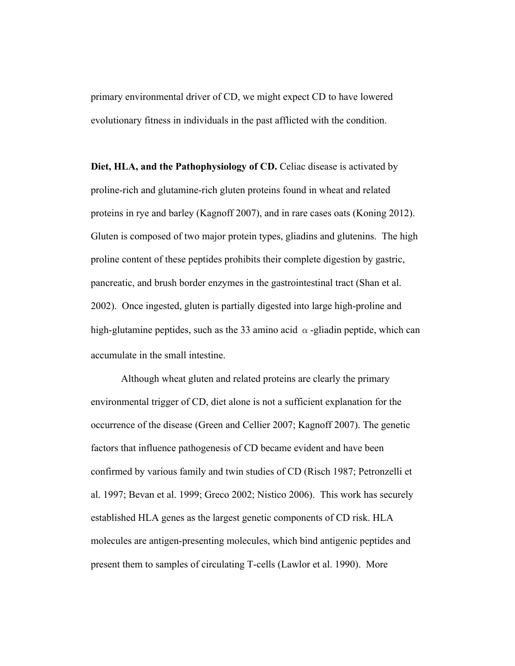primary environmental driver of CD, we might expect CD to have lowered evolutionary fitness in individuals in the past afflicted with the condition.

**Diet, HLA, and the Pathophysiology of CD.** Celiac disease is activated by proline-rich and glutamine-rich gluten proteins found in wheat and related proteins in rye and barley (Kagnoff 2007), and in rare cases oats (Koning 2012). Gluten is composed of two major protein types, gliadins and glutenins. The high proline content of these peptides prohibits their complete digestion by gastric, pancreatic, and brush border enzymes in the gastrointestinal tract (Shan et al. 2002). Once ingested, gluten is partially digested into large high-proline and high-glutamine peptides, such as the 33 amino acid  $\alpha$ -gliadin peptide, which can accumulate in the small intestine.

Although wheat gluten and related proteins are clearly the primary environmental trigger of CD, diet alone is not a sufficient explanation for the occurrence of the disease (Green and Cellier 2007; Kagnoff 2007). The genetic factors that influence pathogenesis of CD became evident and have been confirmed by various family and twin studies of CD (Risch 1987; Petronzelli et al. 1997; Bevan et al. 1999; Greco 2002; Nistico 2006). This work has securely established HLA genes as the largest genetic components of CD risk. HLA molecules are antigen-presenting molecules, which bind antigenic peptides and present them to samples of circulating T-cells (Lawlor et al. 1990). More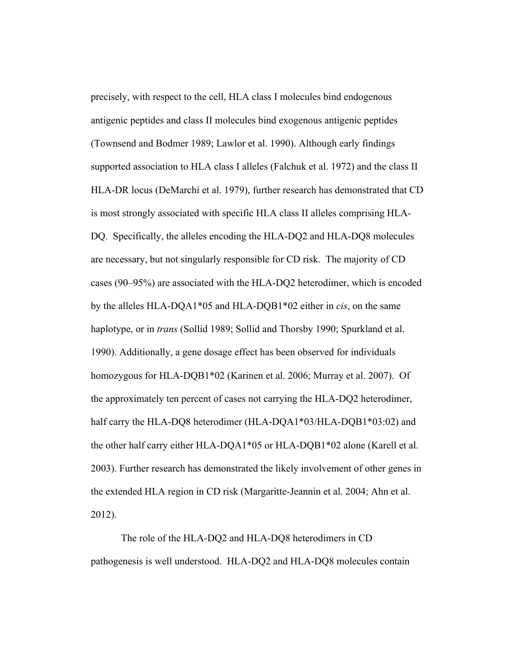precisely, with respect to the cell, HLA class I molecules bind endogenous antigenic peptides and class II molecules bind exogenous antigenic peptides (Townsend and Bodmer 1989; Lawlor et al. 1990). Although early findings supported association to HLA class I alleles (Falchuk et al. 1972) and the class II HLA-DR locus (DeMarchi et al. 1979), further research has demonstrated that CD is most strongly associated with specific HLA class II alleles comprising HLA-DQ. Specifically, the alleles encoding the HLA-DQ2 and HLA-DQ8 molecules are necessary, but not singularly responsible for CD risk. The majority of CD cases (90–95%) are associated with the HLA-DQ2 heterodimer, which is encoded by the alleles HLA-DQA1\*05 and HLA-DQB1\*02 either in *cis*, on the same haplotype, or in *trans* (Sollid 1989; Sollid and Thorsby 1990; Spurkland et al. 1990). Additionally, a gene dosage effect has been observed for individuals homozygous for HLA-DQB1\*02 (Karinen et al. 2006; Murray et al. 2007). Of the approximately ten percent of cases not carrying the HLA-DQ2 heterodimer, half carry the HLA-DQ8 heterodimer (HLA-DQA1\*03/HLA-DQB1\*03:02) and the other half carry either HLA-DQA1\*05 or HLA-DQB1\*02 alone (Karell et al. 2003). Further research has demonstrated the likely involvement of other genes in the extended HLA region in CD risk (Margaritte-Jeannin et al. 2004; Ahn et al. 2012).

The role of the HLA-DQ2 and HLA-DQ8 heterodimers in CD pathogenesis is well understood. HLA-DQ2 and HLA-DQ8 molecules contain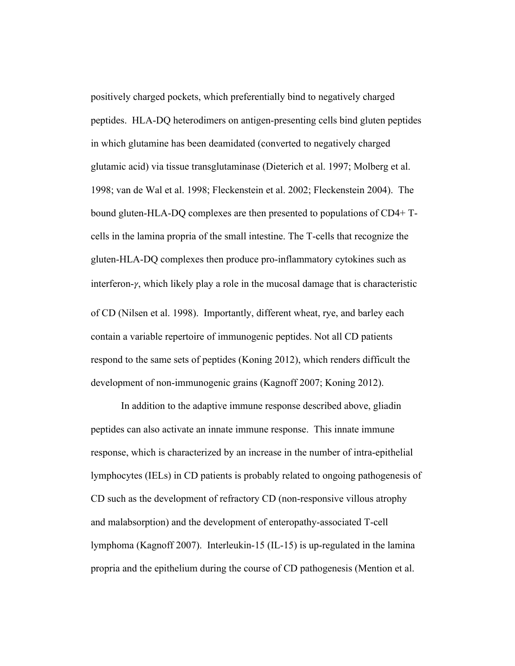positively charged pockets, which preferentially bind to negatively charged peptides. HLA-DQ heterodimers on antigen-presenting cells bind gluten peptides in which glutamine has been deamidated (converted to negatively charged glutamic acid) via tissue transglutaminase (Dieterich et al. 1997; Molberg et al. 1998; van de Wal et al. 1998; Fleckenstein et al. 2002; Fleckenstein 2004). The bound gluten-HLA-DQ complexes are then presented to populations of CD4+ Tcells in the lamina propria of the small intestine. The T-cells that recognize the gluten-HLA-DQ complexes then produce pro-inflammatory cytokines such as interferon- $\gamma$ , which likely play a role in the mucosal damage that is characteristic of CD (Nilsen et al. 1998). Importantly, different wheat, rye, and barley each contain a variable repertoire of immunogenic peptides. Not all CD patients respond to the same sets of peptides (Koning 2012), which renders difficult the development of non-immunogenic grains (Kagnoff 2007; Koning 2012).

In addition to the adaptive immune response described above, gliadin peptides can also activate an innate immune response. This innate immune response, which is characterized by an increase in the number of intra-epithelial lymphocytes (IELs) in CD patients is probably related to ongoing pathogenesis of CD such as the development of refractory CD (non-responsive villous atrophy and malabsorption) and the development of enteropathy-associated T-cell lymphoma (Kagnoff 2007). Interleukin-15 (IL-15) is up-regulated in the lamina propria and the epithelium during the course of CD pathogenesis (Mention et al.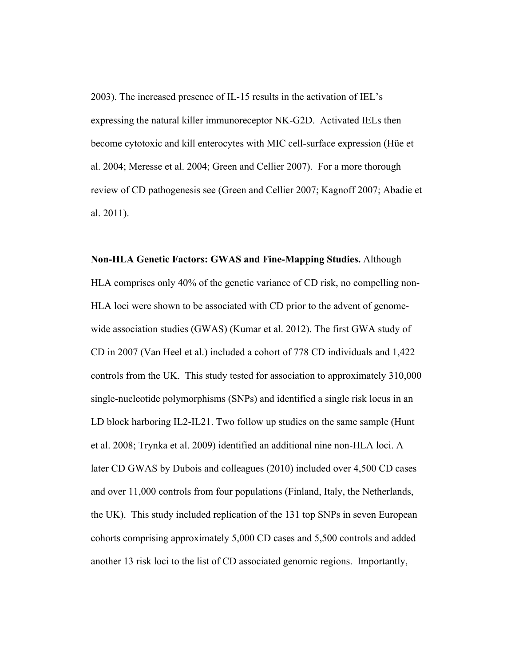2003). The increased presence of IL-15 results in the activation of IEL's expressing the natural killer immunoreceptor NK-G2D. Activated IELs then become cytotoxic and kill enterocytes with MIC cell-surface expression (Hüe et al. 2004; Meresse et al. 2004; Green and Cellier 2007). For a more thorough review of CD pathogenesis see (Green and Cellier 2007; Kagnoff 2007; Abadie et al. 2011).

### **Non-HLA Genetic Factors: GWAS and Fine-Mapping Studies.** Although

HLA comprises only 40% of the genetic variance of CD risk, no compelling non-HLA loci were shown to be associated with CD prior to the advent of genomewide association studies (GWAS) (Kumar et al. 2012). The first GWA study of CD in 2007 (Van Heel et al.) included a cohort of 778 CD individuals and 1,422 controls from the UK. This study tested for association to approximately 310,000 single-nucleotide polymorphisms (SNPs) and identified a single risk locus in an LD block harboring IL2-IL21. Two follow up studies on the same sample (Hunt et al. 2008; Trynka et al. 2009) identified an additional nine non-HLA loci. A later CD GWAS by Dubois and colleagues (2010) included over 4,500 CD cases and over 11,000 controls from four populations (Finland, Italy, the Netherlands, the UK). This study included replication of the 131 top SNPs in seven European cohorts comprising approximately 5,000 CD cases and 5,500 controls and added another 13 risk loci to the list of CD associated genomic regions. Importantly,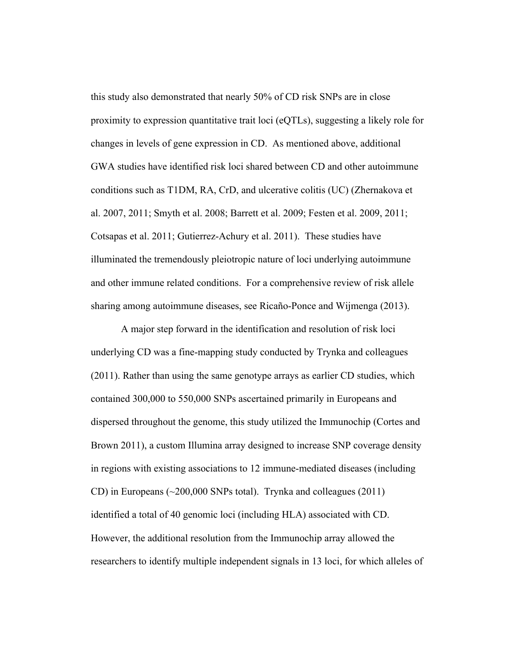this study also demonstrated that nearly 50% of CD risk SNPs are in close proximity to expression quantitative trait loci (eQTLs), suggesting a likely role for changes in levels of gene expression in CD. As mentioned above, additional GWA studies have identified risk loci shared between CD and other autoimmune conditions such as T1DM, RA, CrD, and ulcerative colitis (UC) (Zhernakova et al. 2007, 2011; Smyth et al. 2008; Barrett et al. 2009; Festen et al. 2009, 2011; Cotsapas et al. 2011; Gutierrez-Achury et al. 2011). These studies have illuminated the tremendously pleiotropic nature of loci underlying autoimmune and other immune related conditions. For a comprehensive review of risk allele sharing among autoimmune diseases, see Ricaño-Ponce and Wijmenga (2013).

A major step forward in the identification and resolution of risk loci underlying CD was a fine-mapping study conducted by Trynka and colleagues (2011). Rather than using the same genotype arrays as earlier CD studies, which contained 300,000 to 550,000 SNPs ascertained primarily in Europeans and dispersed throughout the genome, this study utilized the Immunochip (Cortes and Brown 2011), a custom Illumina array designed to increase SNP coverage density in regions with existing associations to 12 immune-mediated diseases (including CD) in Europeans  $(\sim 200,000$  SNPs total). Trynka and colleagues (2011) identified a total of 40 genomic loci (including HLA) associated with CD. However, the additional resolution from the Immunochip array allowed the researchers to identify multiple independent signals in 13 loci, for which alleles of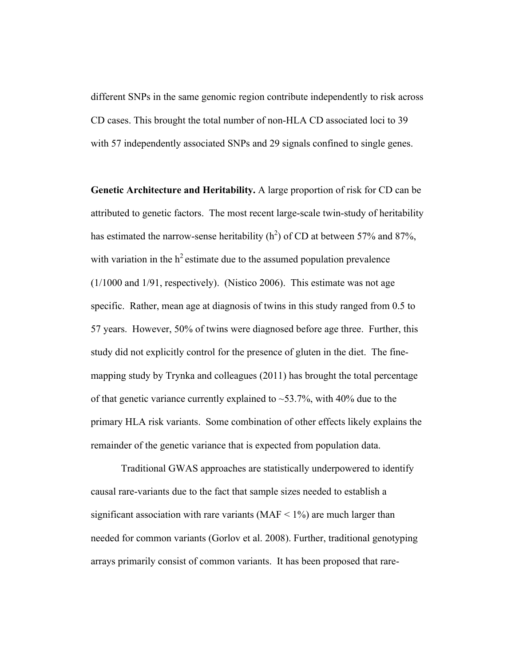different SNPs in the same genomic region contribute independently to risk across CD cases. This brought the total number of non-HLA CD associated loci to 39 with 57 independently associated SNPs and 29 signals confined to single genes.

**Genetic Architecture and Heritability.** A large proportion of risk for CD can be attributed to genetic factors. The most recent large-scale twin-study of heritability has estimated the narrow-sense heritability ( $h^2$ ) of CD at between 57% and 87%, with variation in the  $h^2$  estimate due to the assumed population prevalence (1/1000 and 1/91, respectively). (Nistico 2006). This estimate was not age specific. Rather, mean age at diagnosis of twins in this study ranged from 0.5 to 57 years. However, 50% of twins were diagnosed before age three. Further, this study did not explicitly control for the presence of gluten in the diet. The finemapping study by Trynka and colleagues (2011) has brought the total percentage of that genetic variance currently explained to  $\sim$  53.7%, with 40% due to the primary HLA risk variants. Some combination of other effects likely explains the remainder of the genetic variance that is expected from population data.

Traditional GWAS approaches are statistically underpowered to identify causal rare-variants due to the fact that sample sizes needed to establish a significant association with rare variants ( $MAF < 1\%$ ) are much larger than needed for common variants (Gorlov et al. 2008). Further, traditional genotyping arrays primarily consist of common variants. It has been proposed that rare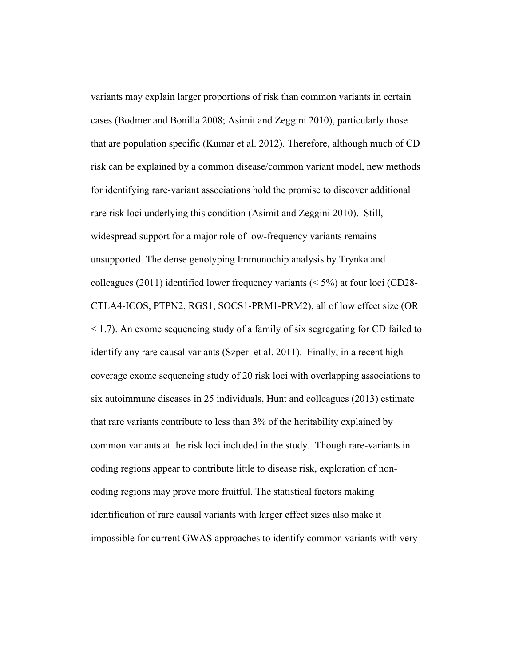variants may explain larger proportions of risk than common variants in certain cases (Bodmer and Bonilla 2008; Asimit and Zeggini 2010), particularly those that are population specific (Kumar et al. 2012). Therefore, although much of CD risk can be explained by a common disease/common variant model, new methods for identifying rare-variant associations hold the promise to discover additional rare risk loci underlying this condition (Asimit and Zeggini 2010). Still, widespread support for a major role of low-frequency variants remains unsupported. The dense genotyping Immunochip analysis by Trynka and colleagues (2011) identified lower frequency variants ( $\leq$  5%) at four loci (CD28-CTLA4-ICOS, PTPN2, RGS1, SOCS1-PRM1-PRM2), all of low effect size (OR < 1.7). An exome sequencing study of a family of six segregating for CD failed to identify any rare causal variants (Szperl et al. 2011). Finally, in a recent highcoverage exome sequencing study of 20 risk loci with overlapping associations to six autoimmune diseases in 25 individuals, Hunt and colleagues (2013) estimate that rare variants contribute to less than 3% of the heritability explained by common variants at the risk loci included in the study. Though rare-variants in coding regions appear to contribute little to disease risk, exploration of noncoding regions may prove more fruitful. The statistical factors making identification of rare causal variants with larger effect sizes also make it impossible for current GWAS approaches to identify common variants with very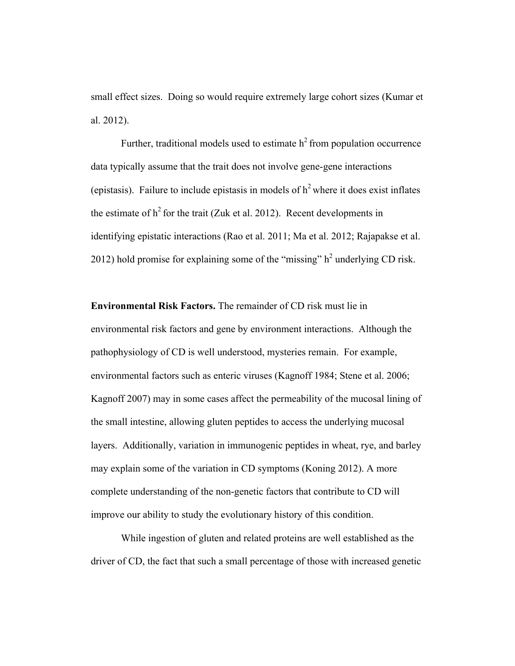small effect sizes. Doing so would require extremely large cohort sizes (Kumar et al. 2012).

Further, traditional models used to estimate  $h<sup>2</sup>$  from population occurrence data typically assume that the trait does not involve gene-gene interactions (epistasis). Failure to include epistasis in models of  $h<sup>2</sup>$  where it does exist inflates the estimate of  $h^2$  for the trait (Zuk et al. 2012). Recent developments in identifying epistatic interactions (Rao et al. 2011; Ma et al. 2012; Rajapakse et al. 2012) hold promise for explaining some of the "missing"  $h^2$  underlying CD risk.

**Environmental Risk Factors.** The remainder of CD risk must lie in environmental risk factors and gene by environment interactions. Although the pathophysiology of CD is well understood, mysteries remain. For example, environmental factors such as enteric viruses (Kagnoff 1984; Stene et al. 2006; Kagnoff 2007) may in some cases affect the permeability of the mucosal lining of the small intestine, allowing gluten peptides to access the underlying mucosal layers. Additionally, variation in immunogenic peptides in wheat, rye, and barley may explain some of the variation in CD symptoms (Koning 2012). A more complete understanding of the non-genetic factors that contribute to CD will improve our ability to study the evolutionary history of this condition.

While ingestion of gluten and related proteins are well established as the driver of CD, the fact that such a small percentage of those with increased genetic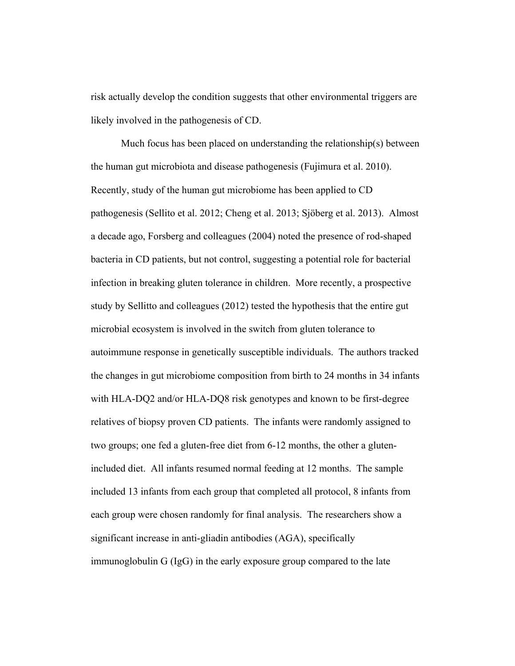risk actually develop the condition suggests that other environmental triggers are likely involved in the pathogenesis of CD.

Much focus has been placed on understanding the relationship(s) between the human gut microbiota and disease pathogenesis (Fujimura et al. 2010). Recently, study of the human gut microbiome has been applied to CD pathogenesis (Sellito et al. 2012; Cheng et al. 2013; Sjöberg et al. 2013). Almost a decade ago, Forsberg and colleagues (2004) noted the presence of rod-shaped bacteria in CD patients, but not control, suggesting a potential role for bacterial infection in breaking gluten tolerance in children. More recently, a prospective study by Sellitto and colleagues (2012) tested the hypothesis that the entire gut microbial ecosystem is involved in the switch from gluten tolerance to autoimmune response in genetically susceptible individuals. The authors tracked the changes in gut microbiome composition from birth to 24 months in 34 infants with HLA-DQ2 and/or HLA-DQ8 risk genotypes and known to be first-degree relatives of biopsy proven CD patients. The infants were randomly assigned to two groups; one fed a gluten-free diet from 6-12 months, the other a glutenincluded diet. All infants resumed normal feeding at 12 months. The sample included 13 infants from each group that completed all protocol, 8 infants from each group were chosen randomly for final analysis. The researchers show a significant increase in anti-gliadin antibodies (AGA), specifically immunoglobulin G (IgG) in the early exposure group compared to the late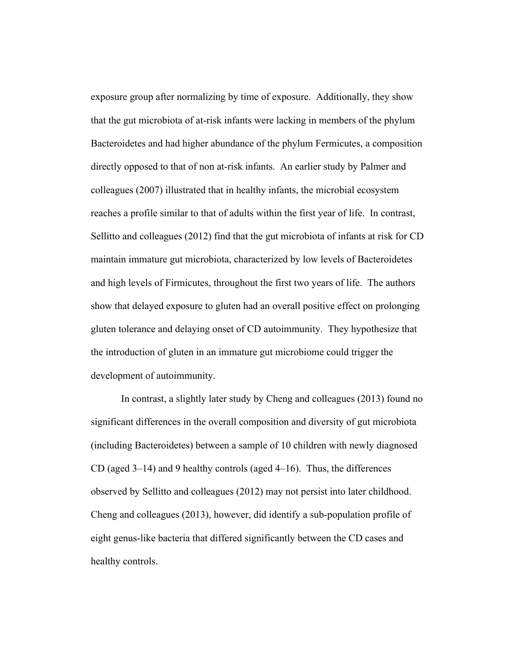exposure group after normalizing by time of exposure. Additionally, they show that the gut microbiota of at-risk infants were lacking in members of the phylum Bacteroidetes and had higher abundance of the phylum Fermicutes, a composition directly opposed to that of non at-risk infants. An earlier study by Palmer and colleagues (2007) illustrated that in healthy infants, the microbial ecosystem reaches a profile similar to that of adults within the first year of life. In contrast, Sellitto and colleagues (2012) find that the gut microbiota of infants at risk for CD maintain immature gut microbiota, characterized by low levels of Bacteroidetes and high levels of Firmicutes, throughout the first two years of life. The authors show that delayed exposure to gluten had an overall positive effect on prolonging gluten tolerance and delaying onset of CD autoimmunity. They hypothesize that the introduction of gluten in an immature gut microbiome could trigger the development of autoimmunity.

In contrast, a slightly later study by Cheng and colleagues (2013) found no significant differences in the overall composition and diversity of gut microbiota (including Bacteroidetes) between a sample of 10 children with newly diagnosed CD (aged 3–14) and 9 healthy controls (aged 4–16). Thus, the differences observed by Sellitto and colleagues (2012) may not persist into later childhood. Cheng and colleagues (2013), however, did identify a sub-population profile of eight genus-like bacteria that differed significantly between the CD cases and healthy controls.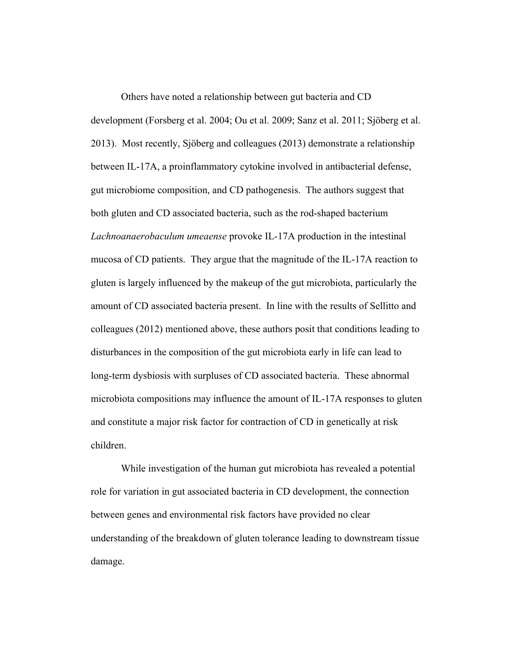Others have noted a relationship between gut bacteria and CD development (Forsberg et al. 2004; Ou et al. 2009; Sanz et al. 2011; Sjöberg et al. 2013). Most recently, Sjöberg and colleagues (2013) demonstrate a relationship between IL-17A, a proinflammatory cytokine involved in antibacterial defense, gut microbiome composition, and CD pathogenesis. The authors suggest that both gluten and CD associated bacteria, such as the rod-shaped bacterium *Lachnoanaerobaculum umeaense* provoke IL-17A production in the intestinal mucosa of CD patients. They argue that the magnitude of the IL-17A reaction to gluten is largely influenced by the makeup of the gut microbiota, particularly the amount of CD associated bacteria present. In line with the results of Sellitto and colleagues (2012) mentioned above, these authors posit that conditions leading to disturbances in the composition of the gut microbiota early in life can lead to long-term dysbiosis with surpluses of CD associated bacteria. These abnormal microbiota compositions may influence the amount of IL-17A responses to gluten and constitute a major risk factor for contraction of CD in genetically at risk children.

While investigation of the human gut microbiota has revealed a potential role for variation in gut associated bacteria in CD development, the connection between genes and environmental risk factors have provided no clear understanding of the breakdown of gluten tolerance leading to downstream tissue damage.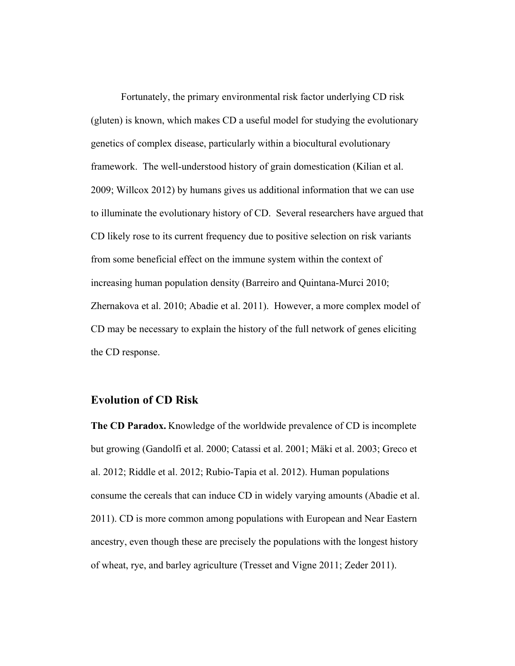Fortunately, the primary environmental risk factor underlying CD risk (gluten) is known, which makes CD a useful model for studying the evolutionary genetics of complex disease, particularly within a biocultural evolutionary framework. The well-understood history of grain domestication (Kilian et al. 2009; Willcox 2012) by humans gives us additional information that we can use to illuminate the evolutionary history of CD. Several researchers have argued that CD likely rose to its current frequency due to positive selection on risk variants from some beneficial effect on the immune system within the context of increasing human population density (Barreiro and Quintana-Murci 2010; Zhernakova et al. 2010; Abadie et al. 2011). However, a more complex model of CD may be necessary to explain the history of the full network of genes eliciting the CD response.

### **Evolution of CD Risk**

**The CD Paradox.** Knowledge of the worldwide prevalence of CD is incomplete but growing (Gandolfi et al. 2000; Catassi et al. 2001; Mäki et al. 2003; Greco et al. 2012; Riddle et al. 2012; Rubio-Tapia et al. 2012). Human populations consume the cereals that can induce CD in widely varying amounts (Abadie et al. 2011). CD is more common among populations with European and Near Eastern ancestry, even though these are precisely the populations with the longest history of wheat, rye, and barley agriculture (Tresset and Vigne 2011; Zeder 2011).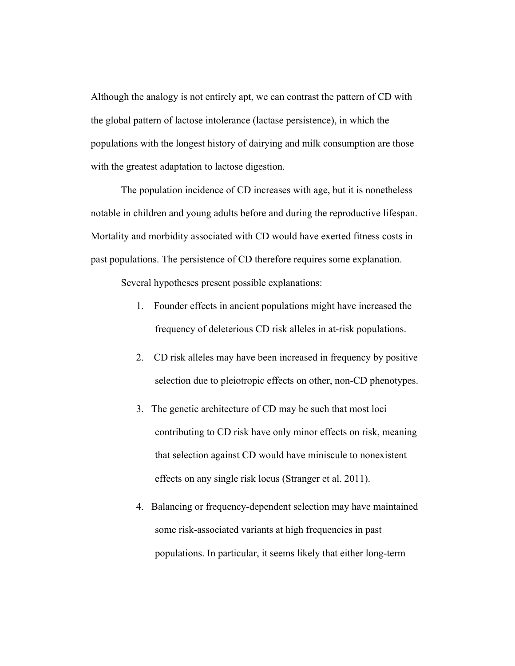Although the analogy is not entirely apt, we can contrast the pattern of CD with the global pattern of lactose intolerance (lactase persistence), in which the populations with the longest history of dairying and milk consumption are those with the greatest adaptation to lactose digestion.

The population incidence of CD increases with age, but it is nonetheless notable in children and young adults before and during the reproductive lifespan. Mortality and morbidity associated with CD would have exerted fitness costs in past populations. The persistence of CD therefore requires some explanation.

Several hypotheses present possible explanations:

- 1. Founder effects in ancient populations might have increased the frequency of deleterious CD risk alleles in at-risk populations.
- 2. CD risk alleles may have been increased in frequency by positive selection due to pleiotropic effects on other, non-CD phenotypes.
- 3. The genetic architecture of CD may be such that most loci contributing to CD risk have only minor effects on risk, meaning that selection against CD would have miniscule to nonexistent effects on any single risk locus (Stranger et al. 2011).
- 4. Balancing or frequency-dependent selection may have maintained some risk-associated variants at high frequencies in past populations. In particular, it seems likely that either long-term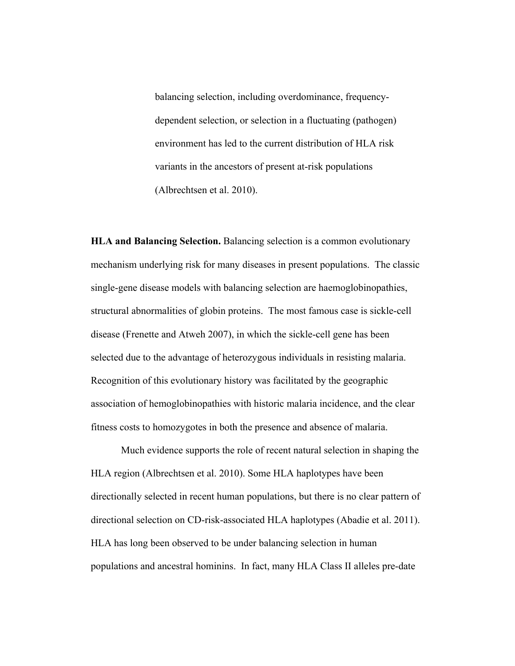balancing selection, including overdominance, frequencydependent selection, or selection in a fluctuating (pathogen) environment has led to the current distribution of HLA risk variants in the ancestors of present at-risk populations (Albrechtsen et al. 2010).

**HLA and Balancing Selection.** Balancing selection is a common evolutionary mechanism underlying risk for many diseases in present populations. The classic single-gene disease models with balancing selection are haemoglobinopathies, structural abnormalities of globin proteins. The most famous case is sickle-cell disease (Frenette and Atweh 2007), in which the sickle-cell gene has been selected due to the advantage of heterozygous individuals in resisting malaria. Recognition of this evolutionary history was facilitated by the geographic association of hemoglobinopathies with historic malaria incidence, and the clear fitness costs to homozygotes in both the presence and absence of malaria.

Much evidence supports the role of recent natural selection in shaping the HLA region (Albrechtsen et al. 2010). Some HLA haplotypes have been directionally selected in recent human populations, but there is no clear pattern of directional selection on CD-risk-associated HLA haplotypes (Abadie et al. 2011). HLA has long been observed to be under balancing selection in human populations and ancestral hominins. In fact, many HLA Class II alleles pre-date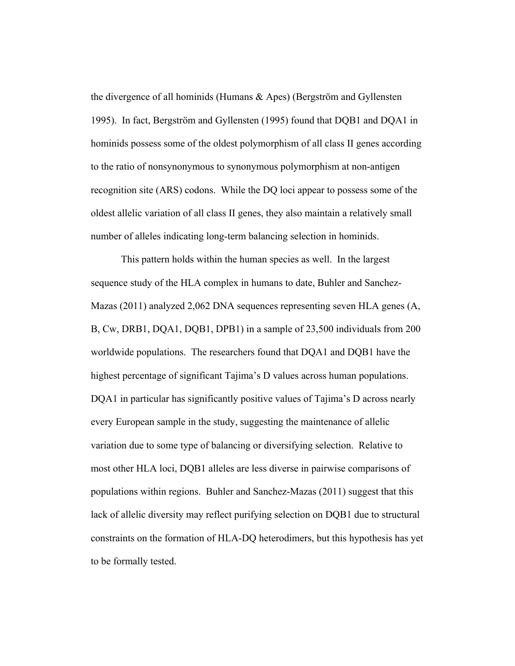the divergence of all hominids (Humans & Apes) (Bergström and Gyllensten 1995). In fact, Bergström and Gyllensten (1995) found that DQB1 and DQA1 in hominids possess some of the oldest polymorphism of all class II genes according to the ratio of nonsynonymous to synonymous polymorphism at non-antigen recognition site (ARS) codons. While the DQ loci appear to possess some of the oldest allelic variation of all class II genes, they also maintain a relatively small number of alleles indicating long-term balancing selection in hominids.

This pattern holds within the human species as well. In the largest sequence study of the HLA complex in humans to date, Buhler and Sanchez-Mazas (2011) analyzed 2,062 DNA sequences representing seven HLA genes (A, B, Cw, DRB1, DQA1, DQB1, DPB1) in a sample of 23,500 individuals from 200 worldwide populations. The researchers found that DQA1 and DQB1 have the highest percentage of significant Tajima's D values across human populations. DQA1 in particular has significantly positive values of Tajima's D across nearly every European sample in the study, suggesting the maintenance of allelic variation due to some type of balancing or diversifying selection. Relative to most other HLA loci, DQB1 alleles are less diverse in pairwise comparisons of populations within regions. Buhler and Sanchez-Mazas (2011) suggest that this lack of allelic diversity may reflect purifying selection on DQB1 due to structural constraints on the formation of HLA-DQ heterodimers, but this hypothesis has yet to be formally tested.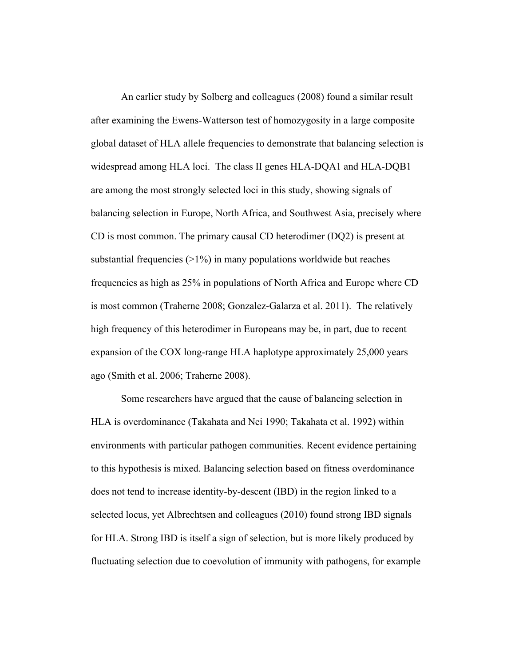An earlier study by Solberg and colleagues (2008) found a similar result after examining the Ewens-Watterson test of homozygosity in a large composite global dataset of HLA allele frequencies to demonstrate that balancing selection is widespread among HLA loci. The class II genes HLA-DQA1 and HLA-DQB1 are among the most strongly selected loci in this study, showing signals of balancing selection in Europe, North Africa, and Southwest Asia, precisely where CD is most common. The primary causal CD heterodimer (DQ2) is present at substantial frequencies  $(>1%)$  in many populations worldwide but reaches frequencies as high as 25% in populations of North Africa and Europe where CD is most common (Traherne 2008; Gonzalez-Galarza et al. 2011). The relatively high frequency of this heterodimer in Europeans may be, in part, due to recent expansion of the COX long-range HLA haplotype approximately 25,000 years ago (Smith et al. 2006; Traherne 2008).

Some researchers have argued that the cause of balancing selection in HLA is overdominance (Takahata and Nei 1990; Takahata et al. 1992) within environments with particular pathogen communities. Recent evidence pertaining to this hypothesis is mixed. Balancing selection based on fitness overdominance does not tend to increase identity-by-descent (IBD) in the region linked to a selected locus, yet Albrechtsen and colleagues (2010) found strong IBD signals for HLA. Strong IBD is itself a sign of selection, but is more likely produced by fluctuating selection due to coevolution of immunity with pathogens, for example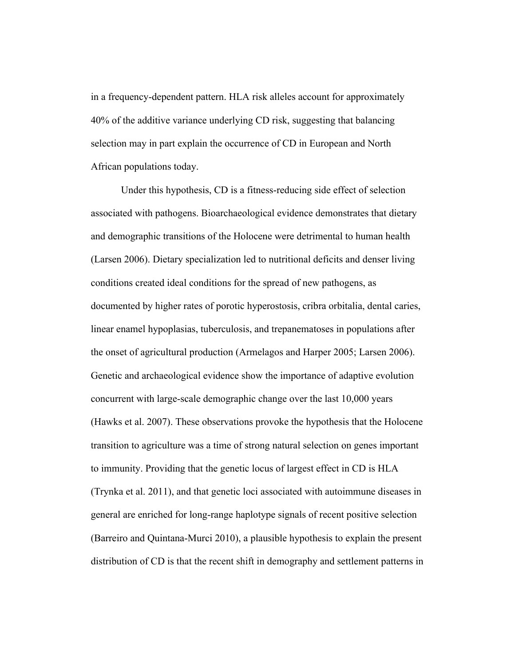in a frequency-dependent pattern. HLA risk alleles account for approximately 40% of the additive variance underlying CD risk, suggesting that balancing selection may in part explain the occurrence of CD in European and North African populations today.

Under this hypothesis, CD is a fitness-reducing side effect of selection associated with pathogens. Bioarchaeological evidence demonstrates that dietary and demographic transitions of the Holocene were detrimental to human health (Larsen 2006). Dietary specialization led to nutritional deficits and denser living conditions created ideal conditions for the spread of new pathogens, as documented by higher rates of porotic hyperostosis, cribra orbitalia, dental caries, linear enamel hypoplasias, tuberculosis, and trepanematoses in populations after the onset of agricultural production (Armelagos and Harper 2005; Larsen 2006). Genetic and archaeological evidence show the importance of adaptive evolution concurrent with large-scale demographic change over the last 10,000 years (Hawks et al. 2007). These observations provoke the hypothesis that the Holocene transition to agriculture was a time of strong natural selection on genes important to immunity. Providing that the genetic locus of largest effect in CD is HLA (Trynka et al. 2011), and that genetic loci associated with autoimmune diseases in general are enriched for long-range haplotype signals of recent positive selection (Barreiro and Quintana-Murci 2010), a plausible hypothesis to explain the present distribution of CD is that the recent shift in demography and settlement patterns in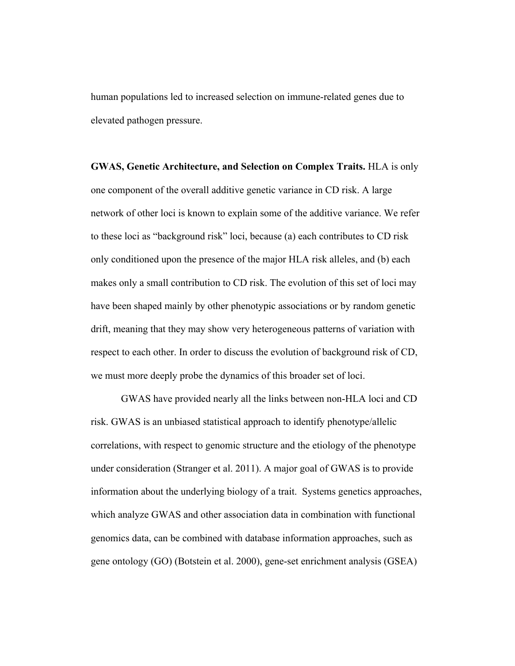human populations led to increased selection on immune-related genes due to elevated pathogen pressure.

**GWAS, Genetic Architecture, and Selection on Complex Traits.** HLA is only one component of the overall additive genetic variance in CD risk. A large network of other loci is known to explain some of the additive variance. We refer to these loci as "background risk" loci, because (a) each contributes to CD risk only conditioned upon the presence of the major HLA risk alleles, and (b) each makes only a small contribution to CD risk. The evolution of this set of loci may have been shaped mainly by other phenotypic associations or by random genetic drift, meaning that they may show very heterogeneous patterns of variation with respect to each other. In order to discuss the evolution of background risk of CD, we must more deeply probe the dynamics of this broader set of loci.

GWAS have provided nearly all the links between non-HLA loci and CD risk. GWAS is an unbiased statistical approach to identify phenotype/allelic correlations, with respect to genomic structure and the etiology of the phenotype under consideration (Stranger et al. 2011). A major goal of GWAS is to provide information about the underlying biology of a trait. Systems genetics approaches, which analyze GWAS and other association data in combination with functional genomics data, can be combined with database information approaches, such as gene ontology (GO) (Botstein et al. 2000), gene-set enrichment analysis (GSEA)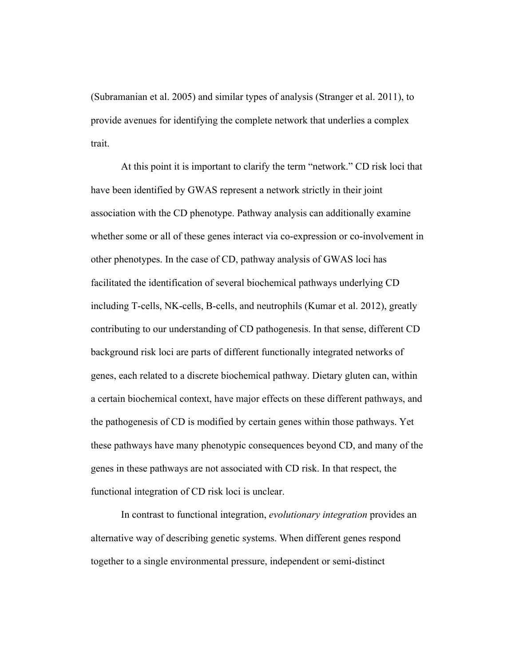(Subramanian et al. 2005) and similar types of analysis (Stranger et al. 2011), to provide avenues for identifying the complete network that underlies a complex trait.

At this point it is important to clarify the term "network." CD risk loci that have been identified by GWAS represent a network strictly in their joint association with the CD phenotype. Pathway analysis can additionally examine whether some or all of these genes interact via co-expression or co-involvement in other phenotypes. In the case of CD, pathway analysis of GWAS loci has facilitated the identification of several biochemical pathways underlying CD including T-cells, NK-cells, B-cells, and neutrophils (Kumar et al. 2012), greatly contributing to our understanding of CD pathogenesis. In that sense, different CD background risk loci are parts of different functionally integrated networks of genes, each related to a discrete biochemical pathway. Dietary gluten can, within a certain biochemical context, have major effects on these different pathways, and the pathogenesis of CD is modified by certain genes within those pathways. Yet these pathways have many phenotypic consequences beyond CD, and many of the genes in these pathways are not associated with CD risk. In that respect, the functional integration of CD risk loci is unclear.

In contrast to functional integration, *evolutionary integration* provides an alternative way of describing genetic systems. When different genes respond together to a single environmental pressure, independent or semi-distinct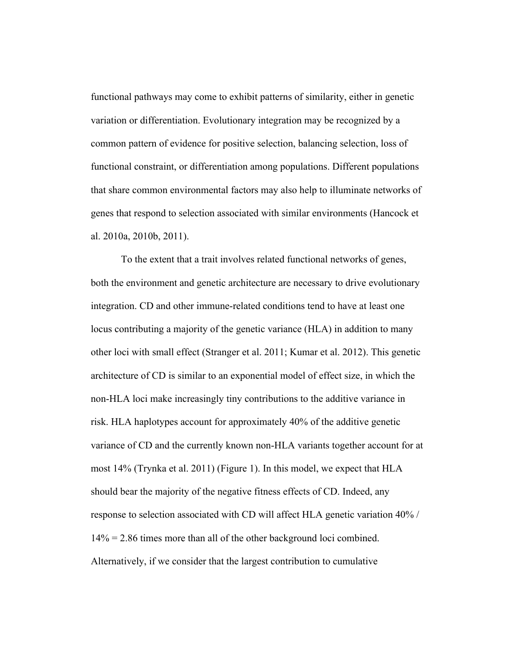functional pathways may come to exhibit patterns of similarity, either in genetic variation or differentiation. Evolutionary integration may be recognized by a common pattern of evidence for positive selection, balancing selection, loss of functional constraint, or differentiation among populations. Different populations that share common environmental factors may also help to illuminate networks of genes that respond to selection associated with similar environments (Hancock et al. 2010a, 2010b, 2011).

To the extent that a trait involves related functional networks of genes, both the environment and genetic architecture are necessary to drive evolutionary integration. CD and other immune-related conditions tend to have at least one locus contributing a majority of the genetic variance (HLA) in addition to many other loci with small effect (Stranger et al. 2011; Kumar et al. 2012). This genetic architecture of CD is similar to an exponential model of effect size, in which the non-HLA loci make increasingly tiny contributions to the additive variance in risk. HLA haplotypes account for approximately 40% of the additive genetic variance of CD and the currently known non-HLA variants together account for at most 14% (Trynka et al. 2011) (Figure 1). In this model, we expect that HLA should bear the majority of the negative fitness effects of CD. Indeed, any response to selection associated with CD will affect HLA genetic variation 40% / 14% = 2.86 times more than all of the other background loci combined. Alternatively, if we consider that the largest contribution to cumulative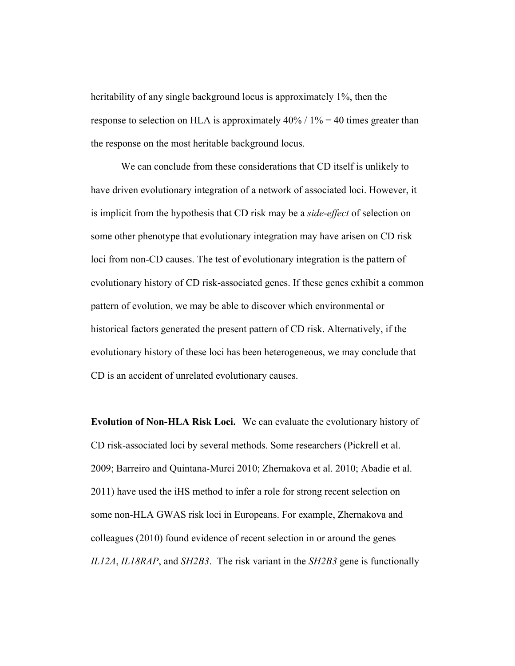heritability of any single background locus is approximately 1%, then the response to selection on HLA is approximately  $40\%$  /  $1\% = 40$  times greater than the response on the most heritable background locus.

We can conclude from these considerations that CD itself is unlikely to have driven evolutionary integration of a network of associated loci. However, it is implicit from the hypothesis that CD risk may be a *side-effect* of selection on some other phenotype that evolutionary integration may have arisen on CD risk loci from non-CD causes. The test of evolutionary integration is the pattern of evolutionary history of CD risk-associated genes. If these genes exhibit a common pattern of evolution, we may be able to discover which environmental or historical factors generated the present pattern of CD risk. Alternatively, if the evolutionary history of these loci has been heterogeneous, we may conclude that CD is an accident of unrelated evolutionary causes.

**Evolution of Non-HLA Risk Loci.** We can evaluate the evolutionary history of CD risk-associated loci by several methods. Some researchers (Pickrell et al. 2009; Barreiro and Quintana-Murci 2010; Zhernakova et al. 2010; Abadie et al. 2011) have used the iHS method to infer a role for strong recent selection on some non-HLA GWAS risk loci in Europeans. For example, Zhernakova and colleagues (2010) found evidence of recent selection in or around the genes *IL12A*, *IL18RAP*, and *SH2B3*. The risk variant in the *SH2B3* gene is functionally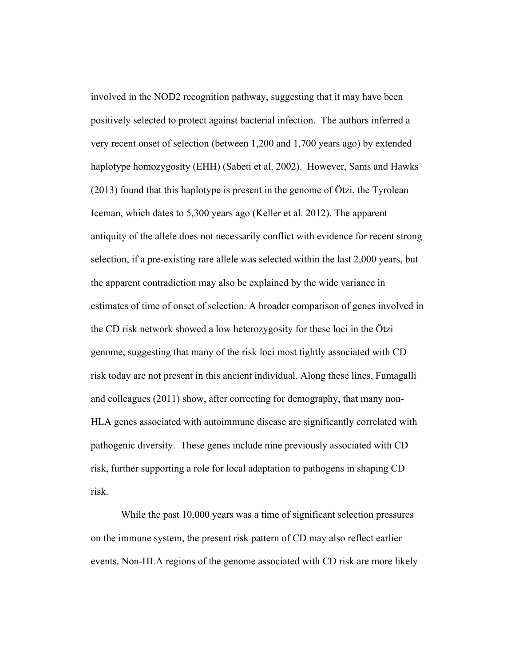involved in the NOD2 recognition pathway, suggesting that it may have been positively selected to protect against bacterial infection. The authors inferred a very recent onset of selection (between 1,200 and 1,700 years ago) by extended haplotype homozygosity (EHH) (Sabeti et al. 2002). However, Sams and Hawks (2013) found that this haplotype is present in the genome of Ötzi, the Tyrolean Iceman, which dates to 5,300 years ago (Keller et al. 2012). The apparent antiquity of the allele does not necessarily conflict with evidence for recent strong selection, if a pre-existing rare allele was selected within the last 2,000 years, but the apparent contradiction may also be explained by the wide variance in estimates of time of onset of selection. A broader comparison of genes involved in the CD risk network showed a low heterozygosity for these loci in the Ötzi genome, suggesting that many of the risk loci most tightly associated with CD risk today are not present in this ancient individual. Along these lines, Fumagalli and colleagues (2011) show, after correcting for demography, that many non-HLA genes associated with autoimmune disease are significantly correlated with pathogenic diversity. These genes include nine previously associated with CD risk, further supporting a role for local adaptation to pathogens in shaping CD risk.

While the past 10,000 years was a time of significant selection pressures on the immune system, the present risk pattern of CD may also reflect earlier events. Non-HLA regions of the genome associated with CD risk are more likely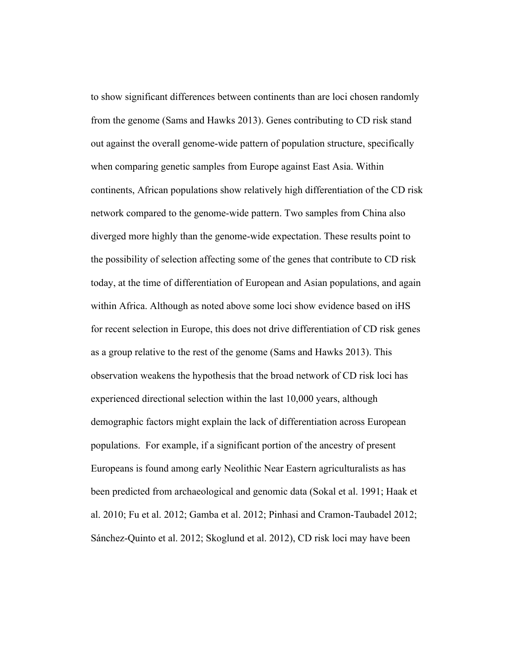to show significant differences between continents than are loci chosen randomly from the genome (Sams and Hawks 2013). Genes contributing to CD risk stand out against the overall genome-wide pattern of population structure, specifically when comparing genetic samples from Europe against East Asia. Within continents, African populations show relatively high differentiation of the CD risk network compared to the genome-wide pattern. Two samples from China also diverged more highly than the genome-wide expectation. These results point to the possibility of selection affecting some of the genes that contribute to CD risk today, at the time of differentiation of European and Asian populations, and again within Africa. Although as noted above some loci show evidence based on iHS for recent selection in Europe, this does not drive differentiation of CD risk genes as a group relative to the rest of the genome (Sams and Hawks 2013). This observation weakens the hypothesis that the broad network of CD risk loci has experienced directional selection within the last 10,000 years, although demographic factors might explain the lack of differentiation across European populations. For example, if a significant portion of the ancestry of present Europeans is found among early Neolithic Near Eastern agriculturalists as has been predicted from archaeological and genomic data (Sokal et al. 1991; Haak et al. 2010; Fu et al. 2012; Gamba et al. 2012; Pinhasi and Cramon-Taubadel 2012; Sánchez-Quinto et al. 2012; Skoglund et al. 2012), CD risk loci may have been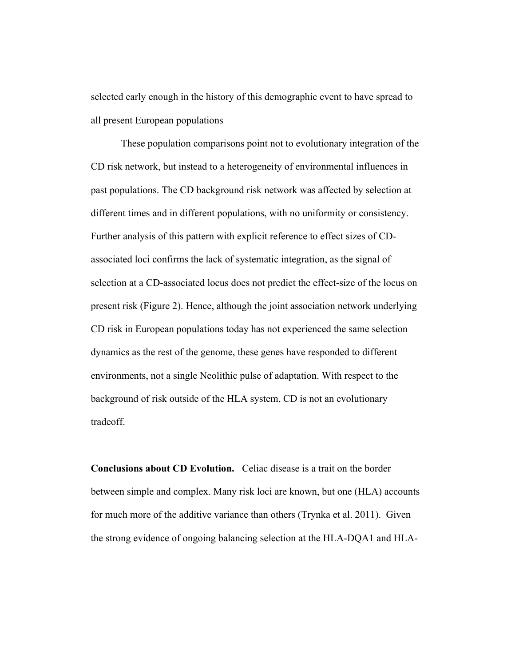selected early enough in the history of this demographic event to have spread to all present European populations

These population comparisons point not to evolutionary integration of the CD risk network, but instead to a heterogeneity of environmental influences in past populations. The CD background risk network was affected by selection at different times and in different populations, with no uniformity or consistency. Further analysis of this pattern with explicit reference to effect sizes of CDassociated loci confirms the lack of systematic integration, as the signal of selection at a CD-associated locus does not predict the effect-size of the locus on present risk (Figure 2). Hence, although the joint association network underlying CD risk in European populations today has not experienced the same selection dynamics as the rest of the genome, these genes have responded to different environments, not a single Neolithic pulse of adaptation. With respect to the background of risk outside of the HLA system, CD is not an evolutionary tradeoff.

**Conclusions about CD Evolution.** Celiac disease is a trait on the border between simple and complex. Many risk loci are known, but one (HLA) accounts for much more of the additive variance than others (Trynka et al. 2011). Given the strong evidence of ongoing balancing selection at the HLA-DQA1 and HLA-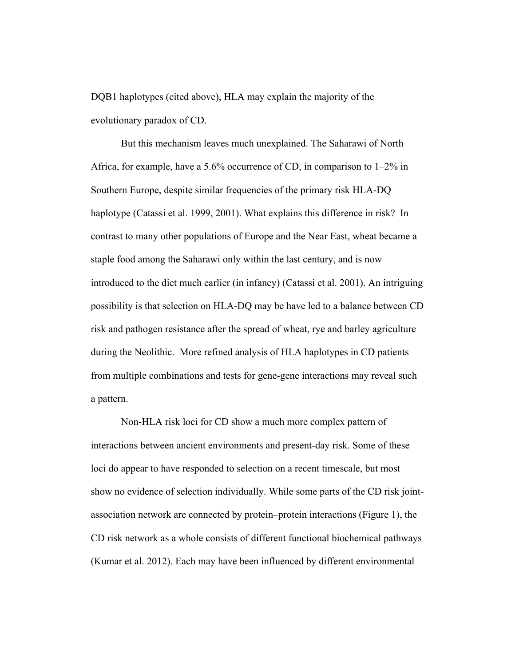DQB1 haplotypes (cited above), HLA may explain the majority of the evolutionary paradox of CD.

But this mechanism leaves much unexplained. The Saharawi of North Africa, for example, have a 5.6% occurrence of CD, in comparison to 1–2% in Southern Europe, despite similar frequencies of the primary risk HLA-DQ haplotype (Catassi et al. 1999, 2001). What explains this difference in risk? In contrast to many other populations of Europe and the Near East, wheat became a staple food among the Saharawi only within the last century, and is now introduced to the diet much earlier (in infancy) (Catassi et al. 2001). An intriguing possibility is that selection on HLA-DQ may be have led to a balance between CD risk and pathogen resistance after the spread of wheat, rye and barley agriculture during the Neolithic. More refined analysis of HLA haplotypes in CD patients from multiple combinations and tests for gene-gene interactions may reveal such a pattern.

Non-HLA risk loci for CD show a much more complex pattern of interactions between ancient environments and present-day risk. Some of these loci do appear to have responded to selection on a recent timescale, but most show no evidence of selection individually. While some parts of the CD risk jointassociation network are connected by protein–protein interactions (Figure 1), the CD risk network as a whole consists of different functional biochemical pathways (Kumar et al. 2012). Each may have been influenced by different environmental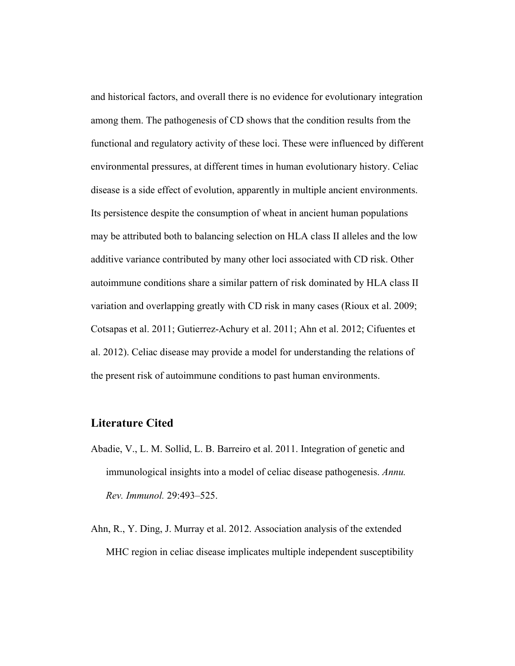and historical factors, and overall there is no evidence for evolutionary integration among them. The pathogenesis of CD shows that the condition results from the functional and regulatory activity of these loci. These were influenced by different environmental pressures, at different times in human evolutionary history. Celiac disease is a side effect of evolution, apparently in multiple ancient environments. Its persistence despite the consumption of wheat in ancient human populations may be attributed both to balancing selection on HLA class II alleles and the low additive variance contributed by many other loci associated with CD risk. Other autoimmune conditions share a similar pattern of risk dominated by HLA class II variation and overlapping greatly with CD risk in many cases (Rioux et al. 2009; Cotsapas et al. 2011; Gutierrez-Achury et al. 2011; Ahn et al. 2012; Cifuentes et al. 2012). Celiac disease may provide a model for understanding the relations of the present risk of autoimmune conditions to past human environments.

### **Literature Cited**

- Abadie, V., L. M. Sollid, L. B. Barreiro et al. 2011. Integration of genetic and immunological insights into a model of celiac disease pathogenesis. *Annu. Rev. Immunol.* 29:493–525.
- Ahn, R., Y. Ding, J. Murray et al. 2012. Association analysis of the extended MHC region in celiac disease implicates multiple independent susceptibility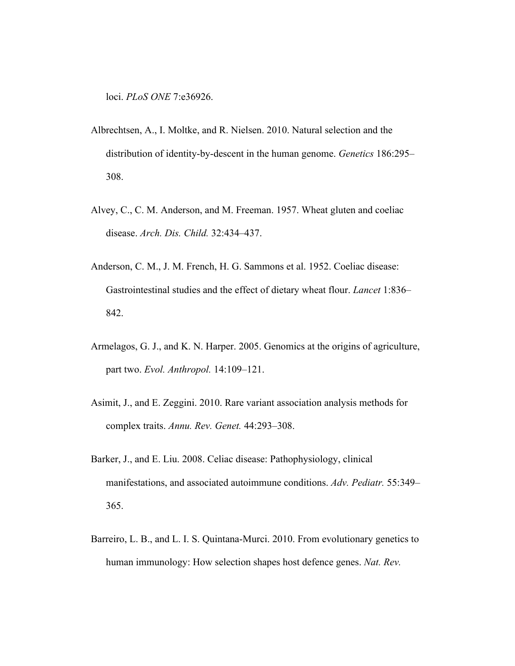loci. *PLoS ONE* 7:e36926.

- Albrechtsen, A., I. Moltke, and R. Nielsen. 2010. Natural selection and the distribution of identity-by-descent in the human genome. *Genetics* 186:295– 308.
- Alvey, C., C. M. Anderson, and M. Freeman. 1957. Wheat gluten and coeliac disease. *Arch. Dis. Child.* 32:434–437.
- Anderson, C. M., J. M. French, H. G. Sammons et al. 1952. Coeliac disease: Gastrointestinal studies and the effect of dietary wheat flour. *Lancet* 1:836– 842.
- Armelagos, G. J., and K. N. Harper. 2005. Genomics at the origins of agriculture, part two. *Evol. Anthropol.* 14:109–121.
- Asimit, J., and E. Zeggini. 2010. Rare variant association analysis methods for complex traits. *Annu. Rev. Genet.* 44:293–308.
- Barker, J., and E. Liu. 2008. Celiac disease: Pathophysiology, clinical manifestations, and associated autoimmune conditions. *Adv. Pediatr.* 55:349– 365.
- Barreiro, L. B., and L. I. S. Quintana-Murci. 2010. From evolutionary genetics to human immunology: How selection shapes host defence genes. *Nat. Rev.*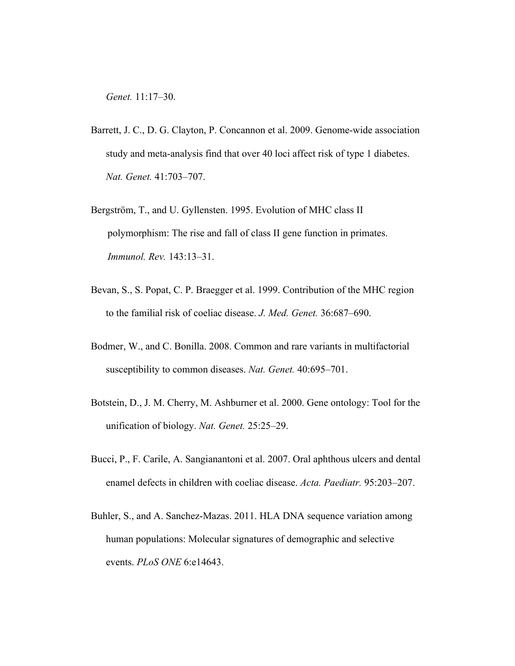*Genet.* 11:17–30.

- Barrett, J. C., D. G. Clayton, P. Concannon et al. 2009. Genome-wide association study and meta-analysis find that over 40 loci affect risk of type 1 diabetes. *Nat. Genet.* 41:703–707.
- Bergström, T., and U. Gyllensten. 1995. Evolution of MHC class II polymorphism: The rise and fall of class II gene function in primates. *Immunol. Rev.* 143:13–31.
- Bevan, S., S. Popat, C. P. Braegger et al. 1999. Contribution of the MHC region to the familial risk of coeliac disease. *J. Med. Genet.* 36:687–690.
- Bodmer, W., and C. Bonilla. 2008. Common and rare variants in multifactorial susceptibility to common diseases. *Nat. Genet.* 40:695–701.
- Botstein, D., J. M. Cherry, M. Ashburner et al. 2000. Gene ontology: Tool for the unification of biology. *Nat. Genet.* 25:25–29.
- Bucci, P., F. Carile, A. Sangianantoni et al. 2007. Oral aphthous ulcers and dental enamel defects in children with coeliac disease. *Acta. Paediatr.* 95:203–207.
- Buhler, S., and A. Sanchez-Mazas. 2011. HLA DNA sequence variation among human populations: Molecular signatures of demographic and selective events. *PLoS ONE* 6:e14643.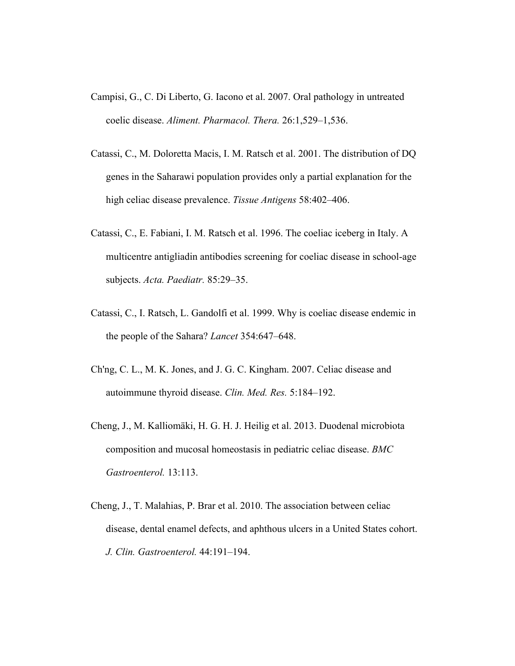- Campisi, G., C. Di Liberto, G. Iacono et al. 2007. Oral pathology in untreated coelic disease. *Aliment. Pharmacol. Thera.* 26:1,529–1,536.
- Catassi, C., M. Doloretta Macis, I. M. Ratsch et al. 2001. The distribution of DQ genes in the Saharawi population provides only a partial explanation for the high celiac disease prevalence. *Tissue Antigens* 58:402–406.
- Catassi, C., E. Fabiani, I. M. Ratsch et al. 1996. The coeliac iceberg in Italy. A multicentre antigliadin antibodies screening for coeliac disease in school-age subjects. *Acta. Paediatr.* 85:29–35.
- Catassi, C., I. Ratsch, L. Gandolfi et al. 1999. Why is coeliac disease endemic in the people of the Sahara? *Lancet* 354:647–648.
- Ch'ng, C. L., M. K. Jones, and J. G. C. Kingham. 2007. Celiac disease and autoimmune thyroid disease. *Clin. Med. Res.* 5:184–192.
- Cheng, J., M. Kalliomäki, H. G. H. J. Heilig et al. 2013. Duodenal microbiota composition and mucosal homeostasis in pediatric celiac disease. *BMC Gastroenterol.* 13:113.
- Cheng, J., T. Malahias, P. Brar et al. 2010. The association between celiac disease, dental enamel defects, and aphthous ulcers in a United States cohort. *J. Clin. Gastroenterol.* 44:191–194.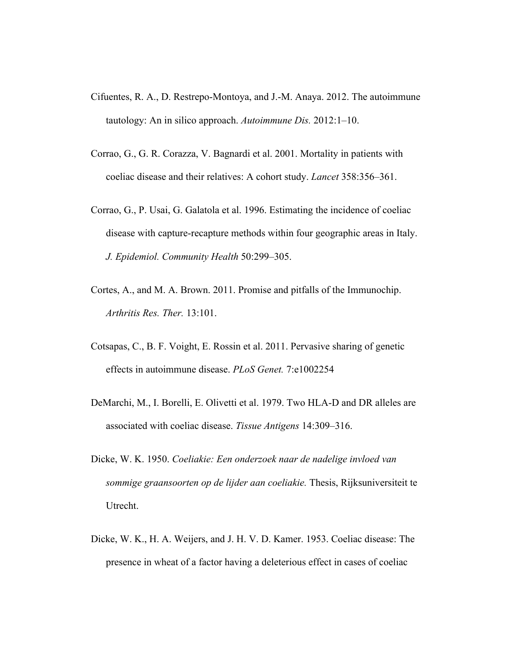- Cifuentes, R. A., D. Restrepo-Montoya, and J.-M. Anaya. 2012. The autoimmune tautology: An in silico approach. *Autoimmune Dis.* 2012:1–10.
- Corrao, G., G. R. Corazza, V. Bagnardi et al. 2001. Mortality in patients with coeliac disease and their relatives: A cohort study. *Lancet* 358:356–361.
- Corrao, G., P. Usai, G. Galatola et al. 1996. Estimating the incidence of coeliac disease with capture-recapture methods within four geographic areas in Italy. *J. Epidemiol. Community Health* 50:299–305.
- Cortes, A., and M. A. Brown. 2011. Promise and pitfalls of the Immunochip. *Arthritis Res. Ther.* 13:101.
- Cotsapas, C., B. F. Voight, E. Rossin et al. 2011. Pervasive sharing of genetic effects in autoimmune disease. *PLoS Genet.* 7:e1002254
- DeMarchi, M., I. Borelli, E. Olivetti et al. 1979. Two HLA-D and DR alleles are associated with coeliac disease. *Tissue Antigens* 14:309–316.
- Dicke, W. K. 1950. *Coeliakie: Een onderzoek naar de nadelige invloed van sommige graansoorten op de lijder aan coeliakie.* Thesis, Rijksuniversiteit te Utrecht.
- Dicke, W. K., H. A. Weijers, and J. H. V. D. Kamer. 1953. Coeliac disease: The presence in wheat of a factor having a deleterious effect in cases of coeliac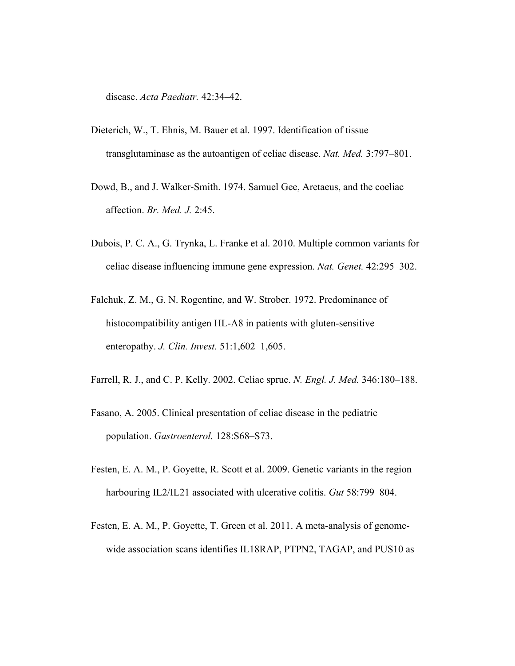disease. *Acta Paediatr.* 42:34–42.

- Dieterich, W., T. Ehnis, M. Bauer et al. 1997. Identification of tissue transglutaminase as the autoantigen of celiac disease. *Nat. Med.* 3:797–801.
- Dowd, B., and J. Walker-Smith. 1974. Samuel Gee, Aretaeus, and the coeliac affection. *Br. Med. J.* 2:45.
- Dubois, P. C. A., G. Trynka, L. Franke et al. 2010. Multiple common variants for celiac disease influencing immune gene expression. *Nat. Genet.* 42:295–302.
- Falchuk, Z. M., G. N. Rogentine, and W. Strober. 1972. Predominance of histocompatibility antigen HL-A8 in patients with gluten-sensitive enteropathy. *J. Clin. Invest.* 51:1,602–1,605.
- Farrell, R. J., and C. P. Kelly. 2002. Celiac sprue. *N. Engl. J. Med.* 346:180–188.
- Fasano, A. 2005. Clinical presentation of celiac disease in the pediatric population. *Gastroenterol.* 128:S68–S73.
- Festen, E. A. M., P. Goyette, R. Scott et al. 2009. Genetic variants in the region harbouring IL2/IL21 associated with ulcerative colitis. *Gut* 58:799–804.
- Festen, E. A. M., P. Goyette, T. Green et al. 2011. A meta-analysis of genomewide association scans identifies IL18RAP, PTPN2, TAGAP, and PUS10 as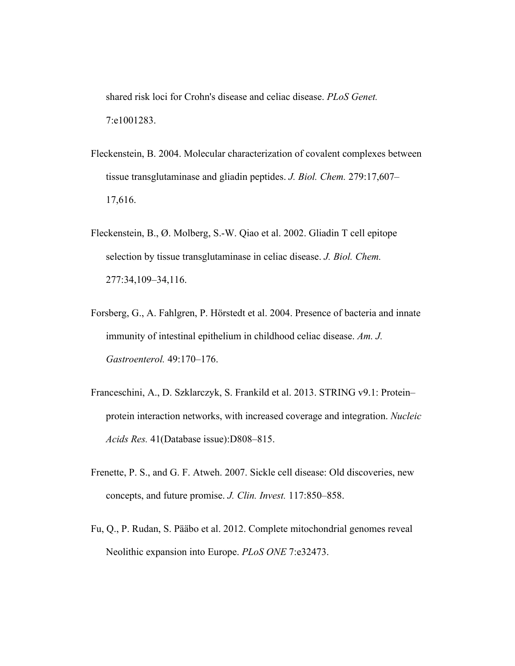shared risk loci for Crohn's disease and celiac disease. *PLoS Genet.* 7:e1001283.

- Fleckenstein, B. 2004. Molecular characterization of covalent complexes between tissue transglutaminase and gliadin peptides. *J. Biol. Chem.* 279:17,607– 17,616.
- Fleckenstein, B., Ø. Molberg, S.-W. Qiao et al. 2002. Gliadin T cell epitope selection by tissue transglutaminase in celiac disease. *J. Biol. Chem.* 277:34,109–34,116.
- Forsberg, G., A. Fahlgren, P. Hörstedt et al. 2004. Presence of bacteria and innate immunity of intestinal epithelium in childhood celiac disease. *Am. J. Gastroenterol.* 49:170–176.
- Franceschini, A., D. Szklarczyk, S. Frankild et al. 2013. STRING v9.1: Protein– protein interaction networks, with increased coverage and integration. *Nucleic Acids Res.* 41(Database issue):D808–815.
- Frenette, P. S., and G. F. Atweh. 2007. Sickle cell disease: Old discoveries, new concepts, and future promise. *J. Clin. Invest.* 117:850–858.
- Fu, Q., P. Rudan, S. Pääbo et al. 2012. Complete mitochondrial genomes reveal Neolithic expansion into Europe. *PLoS ONE* 7:e32473.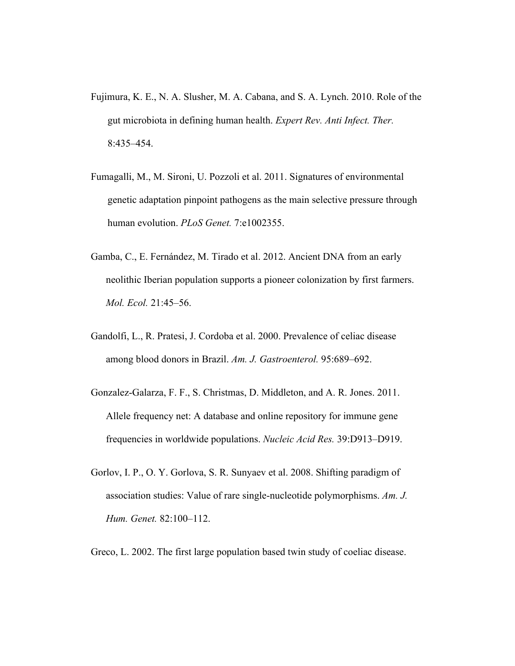- Fujimura, K. E., N. A. Slusher, M. A. Cabana, and S. A. Lynch. 2010. Role of the gut microbiota in defining human health. *Expert Rev. Anti Infect. Ther.* 8:435–454.
- Fumagalli, M., M. Sironi, U. Pozzoli et al. 2011. Signatures of environmental genetic adaptation pinpoint pathogens as the main selective pressure through human evolution. *PLoS Genet.* 7:e1002355.
- Gamba, C., E. Fernández, M. Tirado et al. 2012. Ancient DNA from an early neolithic Iberian population supports a pioneer colonization by first farmers. *Mol. Ecol.* 21:45–56.
- Gandolfi, L., R. Pratesi, J. Cordoba et al. 2000. Prevalence of celiac disease among blood donors in Brazil. *Am. J. Gastroenterol.* 95:689–692.
- Gonzalez-Galarza, F. F., S. Christmas, D. Middleton, and A. R. Jones. 2011. Allele frequency net: A database and online repository for immune gene frequencies in worldwide populations. *Nucleic Acid Res.* 39:D913–D919.
- Gorlov, I. P., O. Y. Gorlova, S. R. Sunyaev et al. 2008. Shifting paradigm of association studies: Value of rare single-nucleotide polymorphisms. *Am. J. Hum. Genet.* 82:100–112.
- Greco, L. 2002. The first large population based twin study of coeliac disease.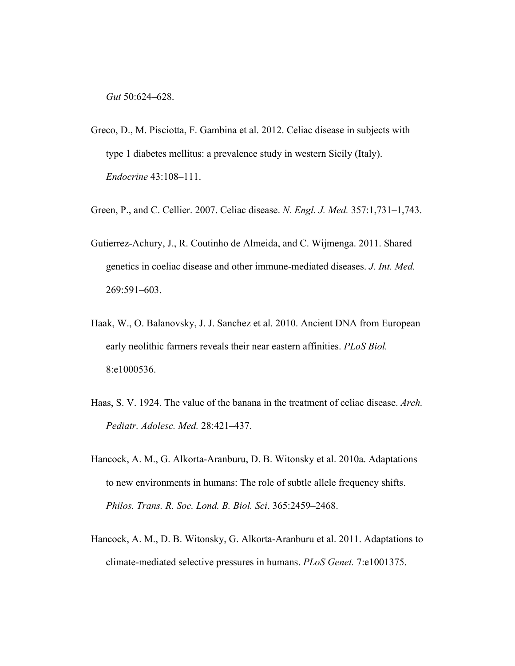*Gut* 50:624–628.

- Greco, D., M. Pisciotta, F. Gambina et al. 2012. Celiac disease in subjects with type 1 diabetes mellitus: a prevalence study in western Sicily (Italy). *Endocrine* 43:108–111.
- Green, P., and C. Cellier. 2007. Celiac disease. *N. Engl. J. Med.* 357:1,731–1,743.
- Gutierrez-Achury, J., R. Coutinho de Almeida, and C. Wijmenga. 2011. Shared genetics in coeliac disease and other immune-mediated diseases. *J. Int. Med.* 269:591–603.
- Haak, W., O. Balanovsky, J. J. Sanchez et al. 2010. Ancient DNA from European early neolithic farmers reveals their near eastern affinities. *PLoS Biol.* 8:e1000536.
- Haas, S. V. 1924. The value of the banana in the treatment of celiac disease. *Arch. Pediatr. Adolesc. Med.* 28:421–437.
- Hancock, A. M., G. Alkorta-Aranburu, D. B. Witonsky et al. 2010a. Adaptations to new environments in humans: The role of subtle allele frequency shifts. *Philos. Trans. R. Soc. Lond. B. Biol. Sci*. 365:2459–2468.
- Hancock, A. M., D. B. Witonsky, G. Alkorta-Aranburu et al. 2011. Adaptations to climate-mediated selective pressures in humans. *PLoS Genet.* 7:e1001375.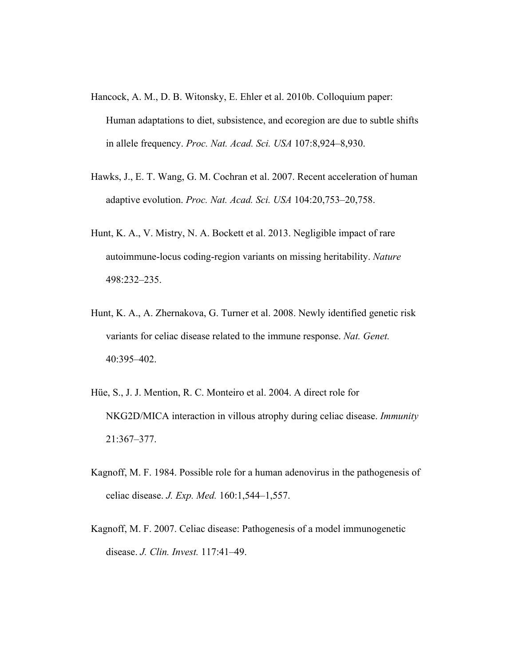- Hancock, A. M., D. B. Witonsky, E. Ehler et al. 2010b. Colloquium paper: Human adaptations to diet, subsistence, and ecoregion are due to subtle shifts in allele frequency. *Proc. Nat. Acad. Sci. USA* 107:8,924–8,930.
- Hawks, J., E. T. Wang, G. M. Cochran et al. 2007. Recent acceleration of human adaptive evolution. *Proc. Nat. Acad. Sci. USA* 104:20,753–20,758.
- Hunt, K. A., V. Mistry, N. A. Bockett et al. 2013. Negligible impact of rare autoimmune-locus coding-region variants on missing heritability. *Nature* 498:232–235.
- Hunt, K. A., A. Zhernakova, G. Turner et al. 2008. Newly identified genetic risk variants for celiac disease related to the immune response. *Nat. Genet.* 40:395–402.
- Hüe, S., J. J. Mention, R. C. Monteiro et al. 2004. A direct role for NKG2D/MICA interaction in villous atrophy during celiac disease. *Immunity* 21:367–377.
- Kagnoff, M. F. 1984. Possible role for a human adenovirus in the pathogenesis of celiac disease. *J. Exp. Med.* 160:1,544–1,557.
- Kagnoff, M. F. 2007. Celiac disease: Pathogenesis of a model immunogenetic disease. *J. Clin. Invest.* 117:41–49.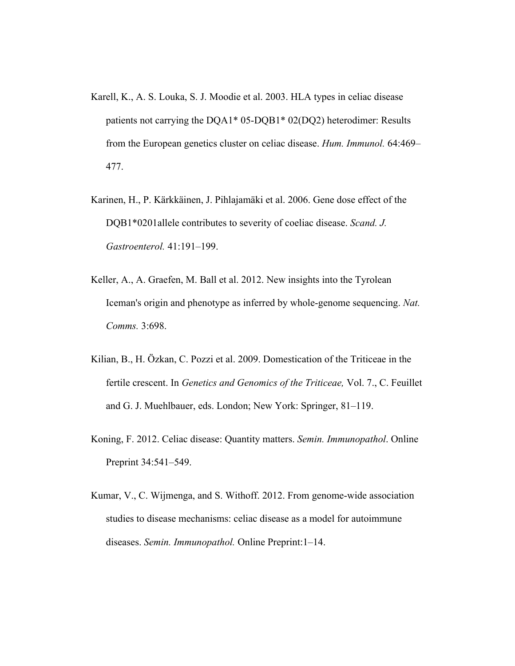Karell, K., A. S. Louka, S. J. Moodie et al. 2003. HLA types in celiac disease patients not carrying the DQA1\* 05-DQB1\* 02(DQ2) heterodimer: Results from the European genetics cluster on celiac disease. *Hum. Immunol.* 64:469– 477.

- Karinen, H., P. Kärkkäinen, J. Pihlajamäki et al. 2006. Gene dose effect of the DQB1\*0201allele contributes to severity of coeliac disease. *Scand. J. Gastroenterol.* 41:191–199.
- Keller, A., A. Graefen, M. Ball et al. 2012. New insights into the Tyrolean Iceman's origin and phenotype as inferred by whole-genome sequencing. *Nat. Comms.* 3:698.
- Kilian, B., H. Özkan, C. Pozzi et al. 2009. Domestication of the Triticeae in the fertile crescent. In *Genetics and Genomics of the Triticeae,* Vol. 7., C. Feuillet and G. J. Muehlbauer, eds. London; New York: Springer, 81–119.
- Koning, F. 2012. Celiac disease: Quantity matters. *Semin. Immunopathol*. Online Preprint 34:541–549.
- Kumar, V., C. Wijmenga, and S. Withoff. 2012. From genome-wide association studies to disease mechanisms: celiac disease as a model for autoimmune diseases. *Semin. Immunopathol.* Online Preprint:1–14.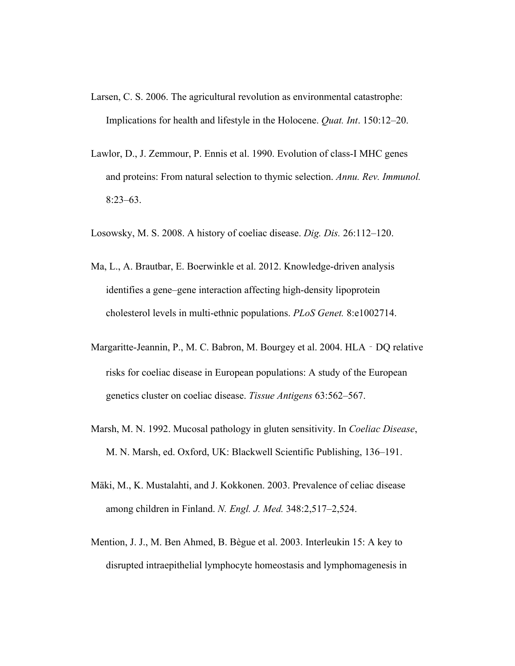- Larsen, C. S. 2006. The agricultural revolution as environmental catastrophe: Implications for health and lifestyle in the Holocene. *Quat. Int*. 150:12–20.
- Lawlor, D., J. Zemmour, P. Ennis et al. 1990. Evolution of class-I MHC genes and proteins: From natural selection to thymic selection. *Annu. Rev. Immunol.* 8:23–63.
- Losowsky, M. S. 2008. A history of coeliac disease. *Dig. Dis.* 26:112–120.
- Ma, L., A. Brautbar, E. Boerwinkle et al. 2012. Knowledge-driven analysis identifies a gene–gene interaction affecting high-density lipoprotein cholesterol levels in multi-ethnic populations. *PLoS Genet.* 8:e1002714.
- Margaritte-Jeannin, P., M. C. Babron, M. Bourgey et al. 2004. HLA DQ relative risks for coeliac disease in European populations: A study of the European genetics cluster on coeliac disease. *Tissue Antigens* 63:562–567.
- Marsh, M. N. 1992. Mucosal pathology in gluten sensitivity. In *Coeliac Disease*, M. N. Marsh, ed. Oxford, UK: Blackwell Scientific Publishing, 136–191.
- Mäki, M., K. Mustalahti, and J. Kokkonen. 2003. Prevalence of celiac disease among children in Finland. *N. Engl. J. Med.* 348:2,517–2,524.
- Mention, J. J., M. Ben Ahmed, B. Bègue et al. 2003. Interleukin 15: A key to disrupted intraepithelial lymphocyte homeostasis and lymphomagenesis in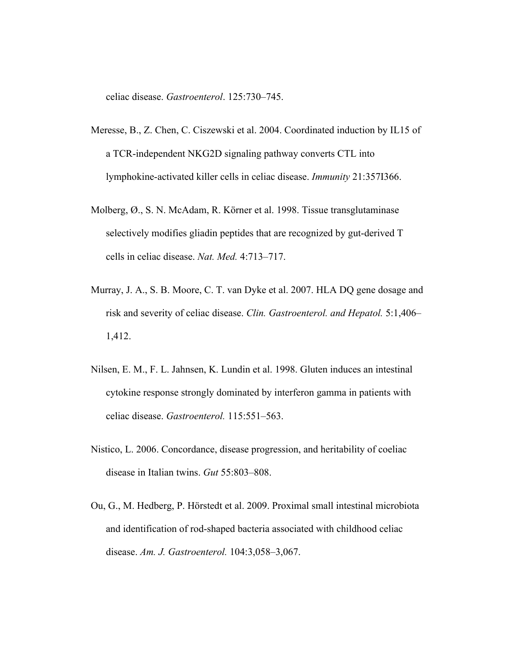celiac disease. *Gastroenterol*. 125:730–745.

- Meresse, B., Z. Chen, C. Ciszewski et al. 2004. Coordinated induction by IL15 of a TCR-independent NKG2D signaling pathway converts CTL into lymphokine-activated killer cells in celiac disease. *Immunity* 21:357I366.
- Molberg, Ø., S. N. McAdam, R. Körner et al. 1998. Tissue transglutaminase selectively modifies gliadin peptides that are recognized by gut-derived T cells in celiac disease. *Nat. Med.* 4:713–717.
- Murray, J. A., S. B. Moore, C. T. van Dyke et al. 2007. HLA DQ gene dosage and risk and severity of celiac disease. *Clin. Gastroenterol. and Hepatol.* 5:1,406– 1,412.
- Nilsen, E. M., F. L. Jahnsen, K. Lundin et al. 1998. Gluten induces an intestinal cytokine response strongly dominated by interferon gamma in patients with celiac disease. *Gastroenterol.* 115:551–563.
- Nistico, L. 2006. Concordance, disease progression, and heritability of coeliac disease in Italian twins. *Gut* 55:803–808.
- Ou, G., M. Hedberg, P. Hörstedt et al. 2009. Proximal small intestinal microbiota and identification of rod-shaped bacteria associated with childhood celiac disease. *Am. J. Gastroenterol.* 104:3,058–3,067.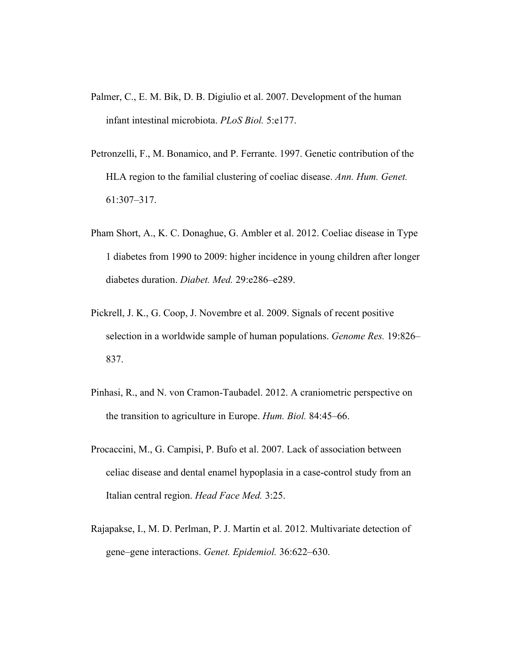- Palmer, C., E. M. Bik, D. B. Digiulio et al. 2007. Development of the human infant intestinal microbiota. *PLoS Biol.* 5:e177.
- Petronzelli, F., M. Bonamico, and P. Ferrante. 1997. Genetic contribution of the HLA region to the familial clustering of coeliac disease. *Ann. Hum. Genet.* 61:307–317.
- Pham Short, A., K. C. Donaghue, G. Ambler et al. 2012. Coeliac disease in Type 1 diabetes from 1990 to 2009: higher incidence in young children after longer diabetes duration. *Diabet. Med.* 29:e286–e289.
- Pickrell, J. K., G. Coop, J. Novembre et al. 2009. Signals of recent positive selection in a worldwide sample of human populations. *Genome Res.* 19:826– 837.
- Pinhasi, R., and N. von Cramon-Taubadel. 2012. A craniometric perspective on the transition to agriculture in Europe. *Hum. Biol.* 84:45–66.
- Procaccini, M., G. Campisi, P. Bufo et al. 2007. Lack of association between celiac disease and dental enamel hypoplasia in a case-control study from an Italian central region. *Head Face Med.* 3:25.
- Rajapakse, I., M. D. Perlman, P. J. Martin et al. 2012. Multivariate detection of gene–gene interactions. *Genet. Epidemiol.* 36:622–630.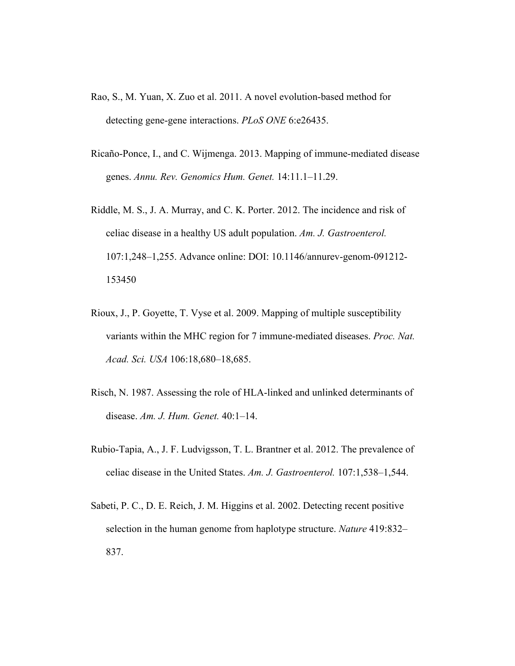- Rao, S., M. Yuan, X. Zuo et al. 2011. A novel evolution-based method for detecting gene-gene interactions. *PLoS ONE* 6:e26435.
- Ricaño-Ponce, I., and C. Wijmenga. 2013. Mapping of immune-mediated disease genes. *Annu. Rev. Genomics Hum. Genet.* 14:11.1–11.29.
- Riddle, M. S., J. A. Murray, and C. K. Porter. 2012. The incidence and risk of celiac disease in a healthy US adult population. *Am. J. Gastroenterol.* 107:1,248–1,255. Advance online: DOI: 10.1146/annurev-genom-091212- 153450
- Rioux, J., P. Goyette, T. Vyse et al. 2009. Mapping of multiple susceptibility variants within the MHC region for 7 immune-mediated diseases. *Proc. Nat. Acad. Sci. USA* 106:18,680–18,685.
- Risch, N. 1987. Assessing the role of HLA-linked and unlinked determinants of disease. *Am. J. Hum. Genet.* 40:1–14.
- Rubio-Tapia, A., J. F. Ludvigsson, T. L. Brantner et al. 2012. The prevalence of celiac disease in the United States. *Am. J. Gastroenterol.* 107:1,538–1,544.
- Sabeti, P. C., D. E. Reich, J. M. Higgins et al. 2002. Detecting recent positive selection in the human genome from haplotype structure. *Nature* 419:832– 837.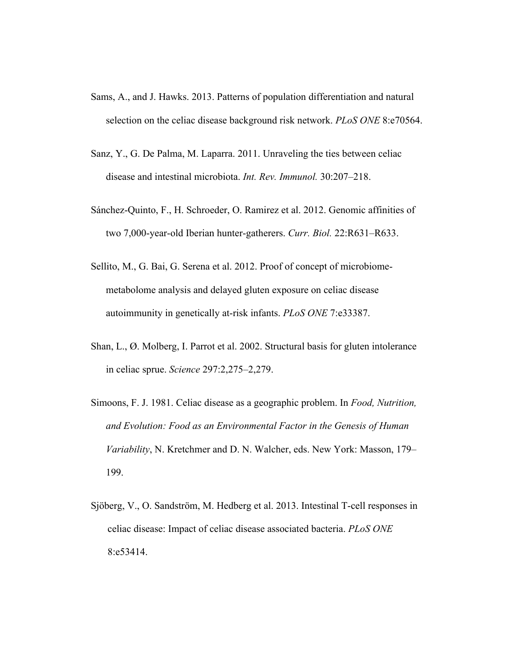- Sams, A., and J. Hawks. 2013. Patterns of population differentiation and natural selection on the celiac disease background risk network. *PLoS ONE* 8:e70564.
- Sanz, Y., G. De Palma, M. Laparra. 2011. Unraveling the ties between celiac disease and intestinal microbiota. *Int. Rev. Immunol.* 30:207–218.
- Sánchez-Quinto, F., H. Schroeder, O. Ramirez et al. 2012. Genomic affinities of two 7,000-year-old Iberian hunter-gatherers. *Curr. Biol.* 22:R631–R633.
- Sellito, M., G. Bai, G. Serena et al. 2012. Proof of concept of microbiomemetabolome analysis and delayed gluten exposure on celiac disease autoimmunity in genetically at-risk infants. *PLoS ONE* 7:e33387.
- Shan, L., Ø. Molberg, I. Parrot et al. 2002. Structural basis for gluten intolerance in celiac sprue. *Science* 297:2,275–2,279.
- Simoons, F. J. 1981. Celiac disease as a geographic problem. In *Food, Nutrition, and Evolution: Food as an Environmental Factor in the Genesis of Human Variability*, N. Kretchmer and D. N. Walcher, eds. New York: Masson, 179– 199.
- Sjöberg, V., O. Sandström, M. Hedberg et al. 2013. Intestinal T-cell responses in celiac disease: Impact of celiac disease associated bacteria. *PLoS ONE* 8:e53414.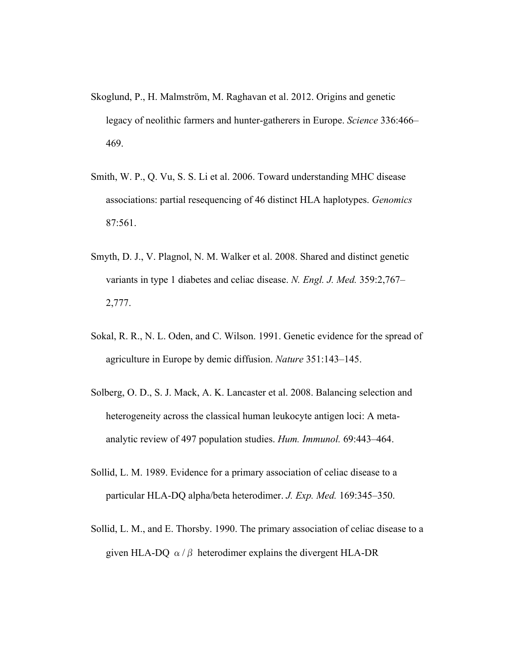- Skoglund, P., H. Malmström, M. Raghavan et al. 2012. Origins and genetic legacy of neolithic farmers and hunter-gatherers in Europe. *Science* 336:466– 469.
- Smith, W. P., Q. Vu, S. S. Li et al. 2006. Toward understanding MHC disease associations: partial resequencing of 46 distinct HLA haplotypes. *Genomics* 87:561.
- Smyth, D. J., V. Plagnol, N. M. Walker et al. 2008. Shared and distinct genetic variants in type 1 diabetes and celiac disease. *N. Engl. J. Med.* 359:2,767– 2,777.
- Sokal, R. R., N. L. Oden, and C. Wilson. 1991. Genetic evidence for the spread of agriculture in Europe by demic diffusion. *Nature* 351:143–145.
- Solberg, O. D., S. J. Mack, A. K. Lancaster et al. 2008. Balancing selection and heterogeneity across the classical human leukocyte antigen loci: A metaanalytic review of 497 population studies. *Hum. Immunol.* 69:443–464.
- Sollid, L. M. 1989. Evidence for a primary association of celiac disease to a particular HLA-DQ alpha/beta heterodimer. *J. Exp. Med.* 169:345–350.
- Sollid, L. M., and E. Thorsby. 1990. The primary association of celiac disease to a given HLA-DQ  $\alpha/\beta$  heterodimer explains the divergent HLA-DR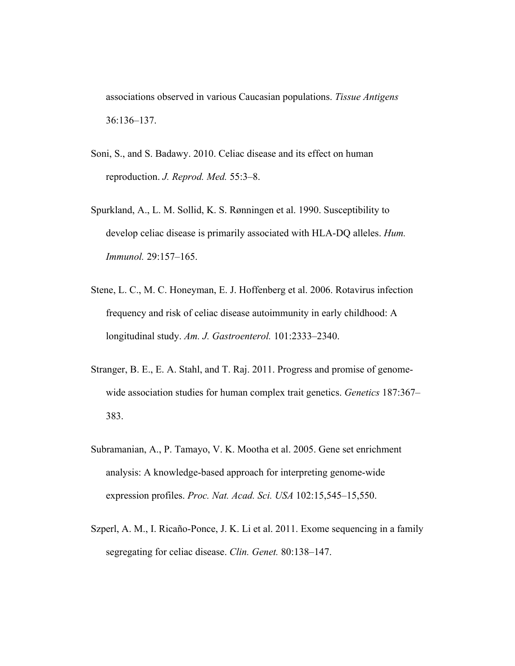associations observed in various Caucasian populations. *Tissue Antigens* 36:136–137.

- Soni, S., and S. Badawy. 2010. Celiac disease and its effect on human reproduction. *J. Reprod. Med.* 55:3–8.
- Spurkland, A., L. M. Sollid, K. S. Rønningen et al. 1990. Susceptibility to develop celiac disease is primarily associated with HLA-DQ alleles. *Hum. Immunol.* 29:157–165.
- Stene, L. C., M. C. Honeyman, E. J. Hoffenberg et al. 2006. Rotavirus infection frequency and risk of celiac disease autoimmunity in early childhood: A longitudinal study. *Am. J. Gastroenterol.* 101:2333–2340.
- Stranger, B. E., E. A. Stahl, and T. Raj. 2011. Progress and promise of genomewide association studies for human complex trait genetics. *Genetics* 187:367– 383.
- Subramanian, A., P. Tamayo, V. K. Mootha et al. 2005. Gene set enrichment analysis: A knowledge-based approach for interpreting genome-wide expression profiles. *Proc. Nat. Acad. Sci. USA* 102:15,545–15,550.
- Szperl, A. M., I. Ricaño-Ponce, J. K. Li et al. 2011. Exome sequencing in a family segregating for celiac disease. *Clin. Genet.* 80:138–147.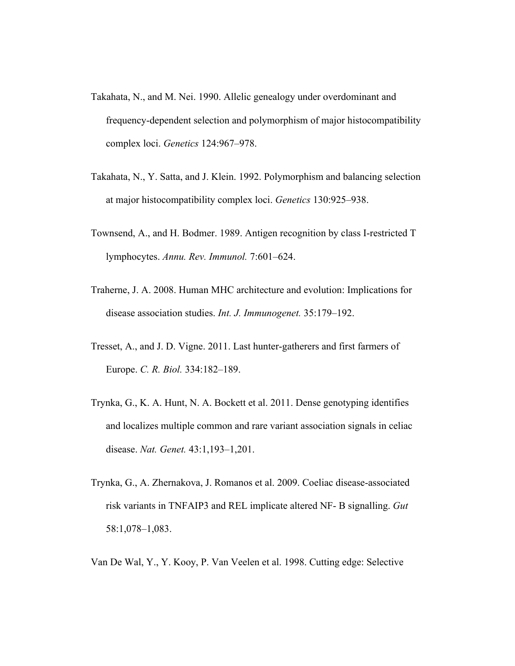- Takahata, N., and M. Nei. 1990. Allelic genealogy under overdominant and frequency-dependent selection and polymorphism of major histocompatibility complex loci. *Genetics* 124:967–978.
- Takahata, N., Y. Satta, and J. Klein. 1992. Polymorphism and balancing selection at major histocompatibility complex loci. *Genetics* 130:925–938.
- Townsend, A., and H. Bodmer. 1989. Antigen recognition by class I-restricted T lymphocytes. *Annu. Rev. Immunol.* 7:601–624.
- Traherne, J. A. 2008. Human MHC architecture and evolution: Implications for disease association studies. *Int. J. Immunogenet.* 35:179–192.
- Tresset, A., and J. D. Vigne. 2011. Last hunter-gatherers and first farmers of Europe. *C. R. Biol.* 334:182–189.
- Trynka, G., K. A. Hunt, N. A. Bockett et al. 2011. Dense genotyping identifies and localizes multiple common and rare variant association signals in celiac disease. *Nat. Genet.* 43:1,193–1,201.
- Trynka, G., A. Zhernakova, J. Romanos et al. 2009. Coeliac disease-associated risk variants in TNFAIP3 and REL implicate altered NF- B signalling. *Gut* 58:1,078–1,083.
- Van De Wal, Y., Y. Kooy, P. Van Veelen et al. 1998. Cutting edge: Selective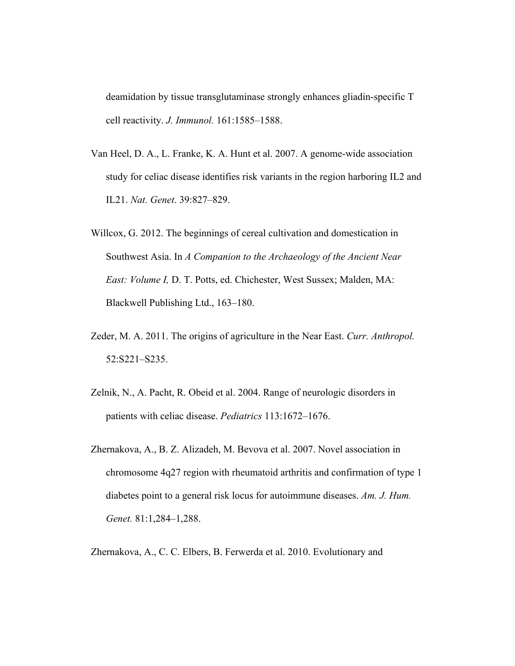deamidation by tissue transglutaminase strongly enhances gliadin-specific T cell reactivity. *J. Immunol.* 161:1585–1588.

- Van Heel, D. A., L. Franke, K. A. Hunt et al. 2007. A genome-wide association study for celiac disease identifies risk variants in the region harboring IL2 and IL21. *Nat. Genet*. 39:827–829.
- Willcox, G. 2012. The beginnings of cereal cultivation and domestication in Southwest Asia. In *A Companion to the Archaeology of the Ancient Near East: Volume I,* D. T. Potts, ed. Chichester, West Sussex; Malden, MA: Blackwell Publishing Ltd., 163–180.
- Zeder, M. A. 2011. The origins of agriculture in the Near East. *Curr. Anthropol.* 52:S221–S235.
- Zelnik, N., A. Pacht, R. Obeid et al. 2004. Range of neurologic disorders in patients with celiac disease. *Pediatrics* 113:1672–1676.
- Zhernakova, A., B. Z. Alizadeh, M. Bevova et al. 2007. Novel association in chromosome 4q27 region with rheumatoid arthritis and confirmation of type 1 diabetes point to a general risk locus for autoimmune diseases. *Am. J. Hum. Genet.* 81:1,284–1,288.

Zhernakova, A., C. C. Elbers, B. Ferwerda et al. 2010. Evolutionary and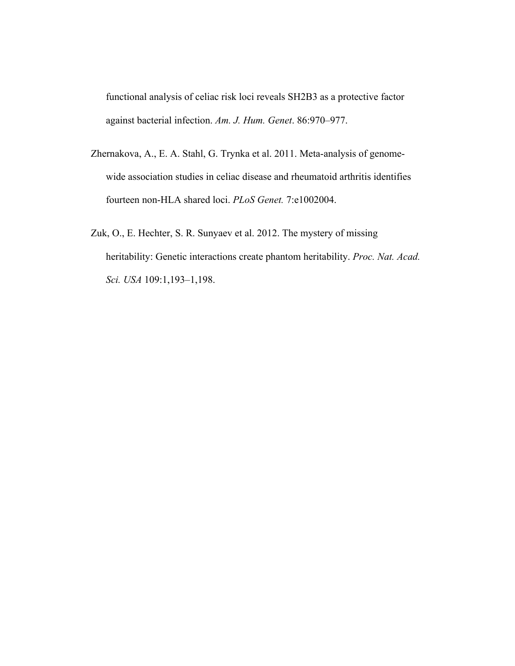functional analysis of celiac risk loci reveals SH2B3 as a protective factor against bacterial infection. *Am. J. Hum. Genet*. 86:970–977.

- Zhernakova, A., E. A. Stahl, G. Trynka et al. 2011. Meta-analysis of genomewide association studies in celiac disease and rheumatoid arthritis identifies fourteen non-HLA shared loci. *PLoS Genet.* 7:e1002004.
- Zuk, O., E. Hechter, S. R. Sunyaev et al. 2012. The mystery of missing heritability: Genetic interactions create phantom heritability. *Proc. Nat. Acad. Sci. USA* 109:1,193–1,198.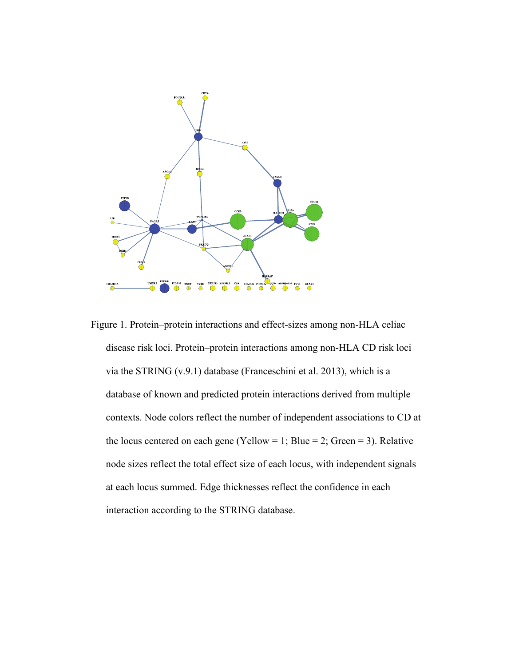

Figure 1. Protein–protein interactions and effect-sizes among non-HLA celiac disease risk loci. Protein–protein interactions among non-HLA CD risk loci via the STRING (v.9.1) database (Franceschini et al. 2013), which is a database of known and predicted protein interactions derived from multiple contexts. Node colors reflect the number of independent associations to CD at the locus centered on each gene (Yellow = 1; Blue = 2; Green = 3). Relative node sizes reflect the total effect size of each locus, with independent signals at each locus summed. Edge thicknesses reflect the confidence in each interaction according to the STRING database.